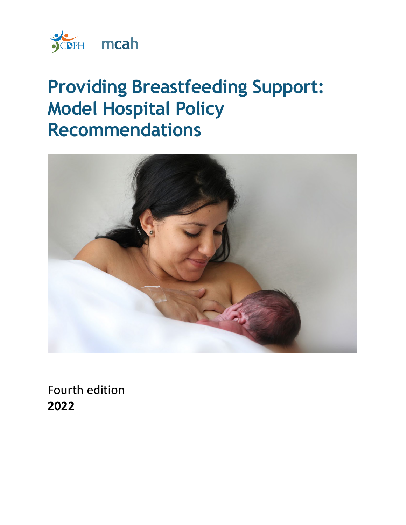

# **Providing Breastfeeding Support: Model Hospital Policy Recommendations**



Fourth edition **2022**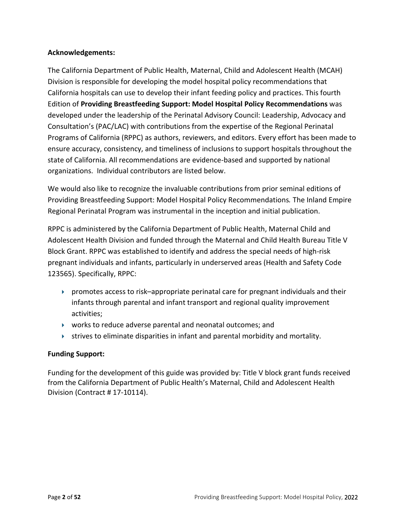#### **Acknowledgements:**

The California Department of Public Health, Maternal, Child and Adolescent Health (MCAH) Division is responsible for developing the model hospital policy recommendations that California hospitals can use to develop their infant feeding policy and practices. This fourth Edition of **Providing Breastfeeding Support: Model Hospital Policy Recommendations** was developed under the leadership of the Perinatal Advisory Council: Leadership, Advocacy and Consultation's (PAC/LAC) with contributions from the expertise of the Regional Perinatal Programs of California (RPPC) as authors, reviewers, and editors. Every effort has been made to ensure accuracy, consistency, and timeliness of inclusions to support hospitals throughout the state of California. All recommendations are evidence-based and supported by national organizations. Individual contributors are listed below.

We would also like to recognize the invaluable contributions from prior seminal editions of Providing Breastfeeding Support: Model Hospital Policy Recommendations*.* The Inland Empire Regional Perinatal Program was instrumental in the inception and initial publication.

RPPC is administered by the California Department of Public Health, Maternal Child and Adolescent Health Division and funded through the Maternal and Child Health Bureau Title V Block Grant. RPPC was established to identify and address the special needs of high-risk pregnant individuals and infants, particularly in underserved areas (Health and Safety Code 123565). Specifically, RPPC:

- promotes access to risk–appropriate perinatal care for pregnant individuals and their infants through parental and infant transport and regional quality improvement activities;
- works to reduce adverse parental and neonatal outcomes; and
- $\triangleright$  strives to eliminate disparities in infant and parental morbidity and mortality.

#### **Funding Support:**

Funding for the development of this guide was provided by: Title V block grant funds received from the California Department of Public Health's Maternal, Child and Adolescent Health Division (Contract # 17-10114).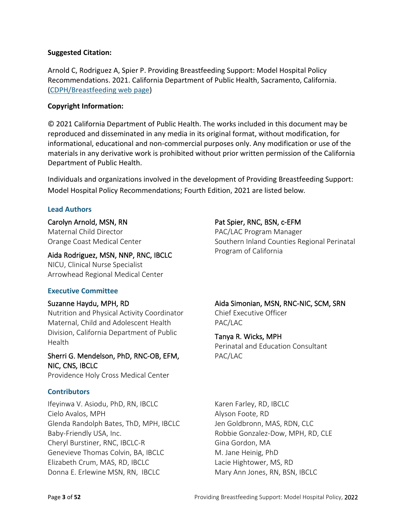#### **Suggested Citation:**

Arnold C, Rodriguez A, Spier P. Providing Breastfeeding Support: Model Hospital Policy Recommendations. 2021. California Department of Public Health, Sacramento, California. [\(CDPH/Breastfeeding web page\)](https://www.cdph.ca.gov/Programs/CFH/DMCAH/Breastfeeding/Pages/Guidelines-and-Resources-Hospitals.aspx)

#### **Copyright Information:**

© 2021 California Department of Public Health. The works included in this document may be reproduced and disseminated in any media in its original format, without modification, for informational, educational and non-commercial purposes only. Any modification or use of the materials in any derivative work is prohibited without prior written permission of the California Department of Public Health.

Individuals and organizations involved in the development of Providing Breastfeeding Support: Model Hospital Policy Recommendations; Fourth Edition, 2021 are listed below*.*

#### **Lead Authors**

#### Carolyn Arnold, MSN, RN

Maternal Child Director Orange Coast Medical Center

#### Aida Rodriguez, MSN, NNP, RNC, IBCLC

NICU, Clinical Nurse Specialist Arrowhead Regional Medical Center

#### **Executive Committee**

#### Suzanne Haydu, MPH, RD

Nutrition and Physical Activity Coordinator Maternal, Child and Adolescent Health Division, California Department of Public **Health** 

#### Sherri G. Mendelson, PhD, RNC-OB, EFM, NIC, CNS, IBCLC

Providence Holy Cross Medical Center

#### **Contributors**

Ifeyinwa V. Asiodu, PhD, RN, IBCLC Cielo Avalos, MPH Glenda Randolph Bates, ThD, MPH, IBCLC Baby-Friendly USA, Inc. Cheryl Burstiner, RNC, IBCLC-R Genevieve Thomas Colvin, BA, IBCLC Elizabeth Crum, MAS, RD, IBCLC Donna E. Erlewine MSN, RN, IBCLC

#### Pat Spier, RNC, BSN, c-EFM

PAC/LAC Program Manager Southern Inland Counties Regional Perinatal Program of California

#### Aida Simonian, MSN, RNC-NIC, SCM, SRN

Chief Executive Officer PAC/LAC

#### Tanya R. Wicks, MPH

Perinatal and Education Consultant PAC/LAC

Karen Farley, RD, IBCLC Alyson Foote, RD Jen Goldbronn, MAS, RDN, CLC Robbie Gonzalez-Dow, MPH, RD, CLE Gina Gordon, MA M. Jane Heinig, PhD Lacie Hightower, MS, RD Mary Ann Jones, RN, BSN, IBCLC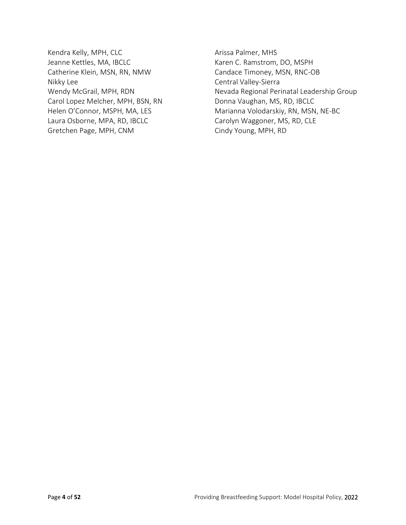- Kendra Kelly, MPH, CLC Jeanne Kettles, MA, IBCLC Catherine Klein, MSN, RN, NMW Nikky Lee Wendy McGrail, MPH, RDN Carol Lopez Melcher, MPH, BSN, RN Helen O'Connor, MSPH, MA, LES Laura Osborne, MPA, RD, IBCLC Gretchen Page, MPH, CNM
- Arissa Palmer, MHS Karen C. Ramstrom, DO, MSPH Candace Timoney, MSN, RNC-OB Central Valley-Sierra Nevada Regional Perinatal Leadership Group Donna Vaughan, MS, RD, IBCLC Marianna Volodarskiy, RN, MSN, NE-BC Carolyn Waggoner, MS, RD, CLE Cindy Young, MPH, RD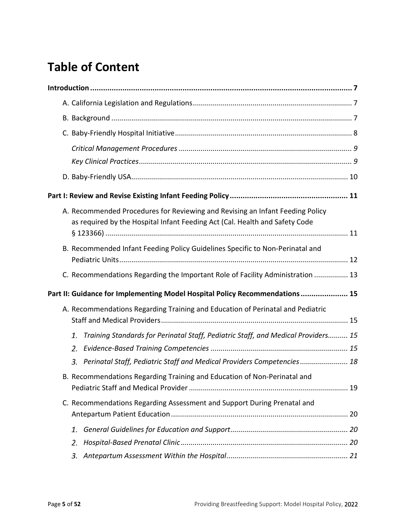## **Table of Content**

|                                                                              | A. Recommended Procedures for Reviewing and Revising an Infant Feeding Policy<br>as required by the Hospital Infant Feeding Act (Cal. Health and Safety Code |  |  |
|------------------------------------------------------------------------------|--------------------------------------------------------------------------------------------------------------------------------------------------------------|--|--|
|                                                                              | B. Recommended Infant Feeding Policy Guidelines Specific to Non-Perinatal and                                                                                |  |  |
|                                                                              | C. Recommendations Regarding the Important Role of Facility Administration  13                                                                               |  |  |
| Part II: Guidance for Implementing Model Hospital Policy Recommendations  15 |                                                                                                                                                              |  |  |
|                                                                              | A. Recommendations Regarding Training and Education of Perinatal and Pediatric                                                                               |  |  |
|                                                                              | Training Standards for Perinatal Staff, Pediatric Staff, and Medical Providers 15<br>1.                                                                      |  |  |
|                                                                              | 2.                                                                                                                                                           |  |  |
|                                                                              | 3. Perinatal Staff, Pediatric Staff and Medical Providers Competencies 18                                                                                    |  |  |
|                                                                              | B. Recommendations Regarding Training and Education of Non-Perinatal and                                                                                     |  |  |
|                                                                              | C. Recommendations Regarding Assessment and Support During Prenatal and                                                                                      |  |  |
|                                                                              | 1.                                                                                                                                                           |  |  |
|                                                                              | 2.                                                                                                                                                           |  |  |
|                                                                              | 3.                                                                                                                                                           |  |  |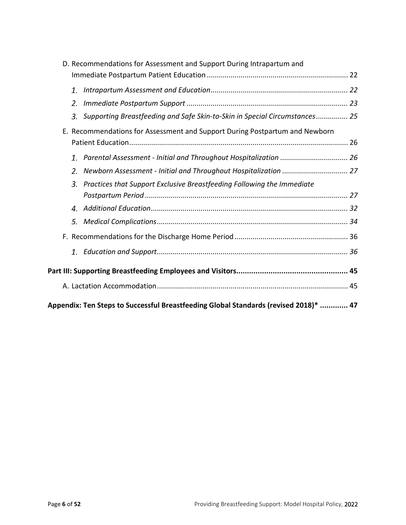| D. Recommendations for Assessment and Support During Intrapartum and                 |  |  |  |
|--------------------------------------------------------------------------------------|--|--|--|
|                                                                                      |  |  |  |
| 1.                                                                                   |  |  |  |
| 2.                                                                                   |  |  |  |
| Supporting Breastfeeding and Safe Skin-to-Skin in Special Circumstances 25<br>3.     |  |  |  |
| E. Recommendations for Assessment and Support During Postpartum and Newborn          |  |  |  |
|                                                                                      |  |  |  |
| 1.                                                                                   |  |  |  |
| 2.                                                                                   |  |  |  |
| Practices that Support Exclusive Breastfeeding Following the Immediate<br>3.         |  |  |  |
|                                                                                      |  |  |  |
|                                                                                      |  |  |  |
| 5.                                                                                   |  |  |  |
|                                                                                      |  |  |  |
| 1.                                                                                   |  |  |  |
|                                                                                      |  |  |  |
|                                                                                      |  |  |  |
|                                                                                      |  |  |  |
| Appendix: Ten Steps to Successful Breastfeeding Global Standards (revised 2018)*  47 |  |  |  |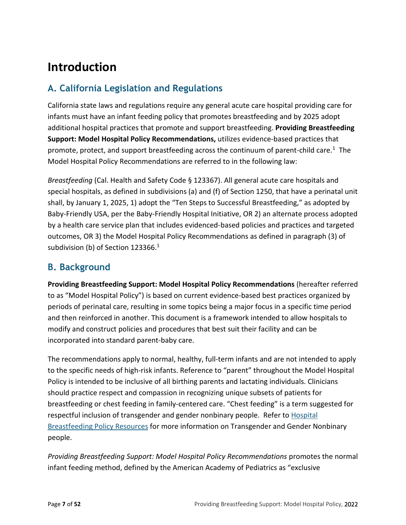## <span id="page-6-0"></span>**Introduction**

## <span id="page-6-1"></span>**A. California Legislation and Regulations**

California state laws and regulations require any general acute care hospital providing care for infants must have an infant feeding policy that promotes breastfeeding and by 2025 adopt additional hospital practices that promote and support breastfeeding. **Providing Breastfeeding Support: Model Hospital Policy Recommendations,** utilizes evidence-based practices that promote, protect, and support breastfeeding across the continuum of parent-child care.<sup>1</sup> The Model Hospital Policy Recommendations are referred to in the following law:

<span id="page-6-3"></span>*Breastfeeding* (Cal. Health and Safety Code § 123367). All general acute care hospitals and special hospitals, as defined in subdivisions (a) and (f) of Section 1250, that have a perinatal unit shall, by January 1, 2025, 1) adopt the "Ten Steps to Successful Breastfeeding," as adopted by Baby-Friendly USA, per the Baby-Friendly Hospital Initiative, OR 2) an alternate process adopted by a health care service plan that includes evidenced-based policies and practices and targeted outcomes, OR 3) the Model Hospital Policy Recommendations as defined in paragraph (3) of subdivision (b) of Section 123366.<sup>1</sup>

### <span id="page-6-2"></span>**B. Background**

**Providing Breastfeeding Support: Model Hospital Policy Recommendations** (hereafter referred to as "Model Hospital Policy") is based on current evidence-based best practices organized by periods of perinatal care, resulting in some topics being a major focus in a specific time period and then reinforced in another. This document is a framework intended to allow hospitals to modify and construct policies and procedures that best suit their facility and can be incorporated into standard parent-baby care.

The recommendations apply to normal, healthy, full-term infants and are not intended to apply to the specific needs of high-risk infants. Reference to "parent" throughout the Model Hospital Policy is intended to be inclusive of all birthing parents and lactating individuals. Clinicians should practice respect and compassion in recognizing unique subsets of patients for breastfeeding or chest feeding in family-centered care. "Chest feeding" is a term suggested for respectful inclusion of transgender and gender nonbinary people. Refer to [Hospital](https://www.cdph.ca.gov/Programs/CFH/DMCAH/Breastfeeding/Pages/Hospital-Breastfeeding-Policy-Resources.aspx)  **[Breastfeeding Policy Resources](https://www.cdph.ca.gov/Programs/CFH/DMCAH/Breastfeeding/Pages/Hospital-Breastfeeding-Policy-Resources.aspx) for more information on Transgender and Gender Nonbinary** people.

*Providing Breastfeeding Support: Model Hospital Policy Recommendations* promotes the normal infant feeding method, defined by the American Academy of Pediatrics as "exclusive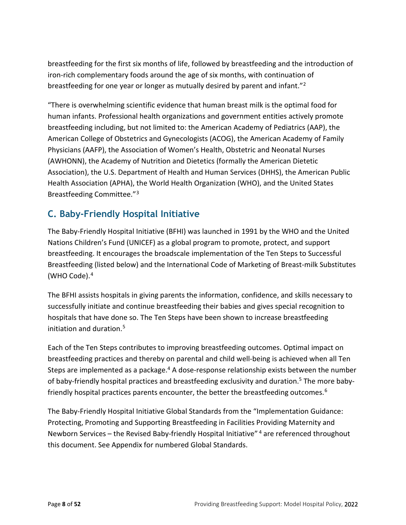breastfeeding for the first six months of life, followed by breastfeeding and the introduction of iron-rich complementary foods around the age of six months, with continuation of breastfeeding for one year or longer as mutually desired by parent and infant.["2](#page-9-2)

"There is overwhelming scientific evidence that human breast milk is the optimal food for human infants. Professional health organizations and government entities actively promote breastfeeding including, but not limited to: the American Academy of Pediatrics (AAP), the American College of Obstetrics and Gynecologists (ACOG), the American Academy of Family Physicians (AAFP), the Association of Women's Health, Obstetric and Neonatal Nurses (AWHONN), the Academy of Nutrition and Dietetics (formally the American Dietetic Association), the U.S. Department of Health and Human Services (DHHS), the American Public Health Association (APHA), the World Health Organization (WHO), and the United States Breastfeeding Committee."[3](#page-9-3)

## <span id="page-7-0"></span>**C. Baby-Friendly Hospital Initiative**

The Baby-Friendly Hospital Initiative (BFHI) was launched in 1991 by the WHO and the United Nations Children's Fund (UNICEF) as a global program to promote, protect, and support breastfeeding. It encourages the broadscale implementation of the Ten Steps to Successful Breastfeeding (listed below) and the International Code of Marketing of Breast-milk Substitutes (WHO Code).[4](#page-9-4)

<span id="page-7-1"></span>The BFHI assists hospitals in giving parents the information, confidence, and skills necessary to successfully initiate and continue breastfeeding their babies and gives special recognition to hospitals that have done so. The Ten Steps have been shown to increase breastfeeding initiation and duration.<sup>[5](#page-9-5)</sup>

<span id="page-7-2"></span>Each of the Ten Steps contributes to improving breastfeeding outcomes. Optimal impact on breastfeeding practices and thereby on parental and child well-being is achieved when all Ten Steps are implemented as a package.<sup>4</sup> A dose-response relationship exists between the number of baby-friendly hospital practices and breastfeeding exclusivity and duration.<sup>5</sup> The more baby-friendly hospital practices parents encounter, the better the breastfeeding outcomes.<sup>[6](#page-9-6)</sup>

The Baby-Friendly Hospital Initiative Global Standards from the "Implementation Guidance: Protecting, Promoting and Supporting Breastfeeding in Facilities Providing Maternity and Newborn Services – the Revised Baby-friendly Hospital Initiative"<sup>[4](#page-7-1)</sup> are referenced throughout this document. See Appendix for numbered Global Standards.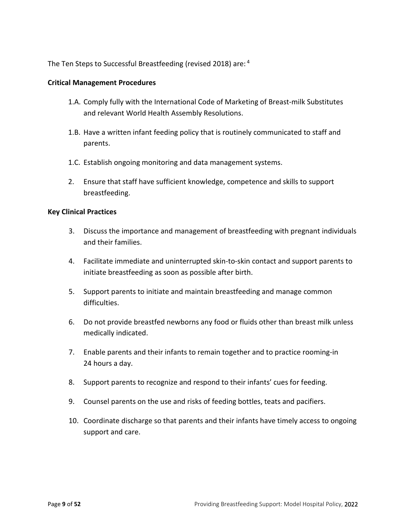The Ten Steps to Successful Breastfeeding (revised 2018) are: [4](#page-7-1)

#### <span id="page-8-0"></span>**Critical Management Procedures**

- 1.A. Comply fully with the International Code of Marketing of Breast-milk Substitutes and relevant World Health Assembly Resolutions.
- 1.B. Have a written infant feeding policy that is routinely communicated to staff and parents.
- 1.C. Establish ongoing monitoring and data management systems.
- 2. Ensure that staff have sufficient knowledge, competence and skills to support breastfeeding.

#### <span id="page-8-1"></span>**Key Clinical Practices**

- 3. Discuss the importance and management of breastfeeding with pregnant individuals and their families.
- 4. Facilitate immediate and uninterrupted skin-to-skin contact and support parents to initiate breastfeeding as soon as possible after birth.
- 5. Support parents to initiate and maintain breastfeeding and manage common difficulties.
- 6. Do not provide breastfed newborns any food or fluids other than breast milk unless medically indicated.
- 7. Enable parents and their infants to remain together and to practice rooming-in 24 hours a day.
- 8. Support parents to recognize and respond to their infants' cues for feeding.
- 9. Counsel parents on the use and risks of feeding bottles, teats and pacifiers.
- 10. Coordinate discharge so that parents and their infants have timely access to ongoing support and care.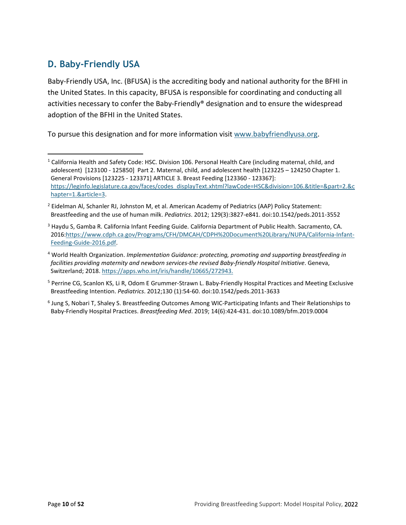## <span id="page-9-0"></span>**D. Baby-Friendly USA**

Baby-Friendly USA, Inc. (BFUSA) is the accrediting body and national authority for the BFHI in the United States. In this capacity, BFUSA is responsible for coordinating and conducting all activities necessary to confer the Baby-Friendly® designation and to ensure the widespread adoption of the BFHI in the United States.

To pursue this designation and for more information visit [www.babyfriendlyusa.org.](http://www.babyfriendlyusa.org/)

<span id="page-9-6"></span><sup>6</sup> Jung S, Nobari T, Shaley S. Breastfeeding Outcomes Among WIC-Participating Infants and Their Relationships to Baby-Friendly Hospital Practices. *Breastfeeding Med*. 2019; 14(6):424-431. doi:10.1089/bfm.2019.0004

<span id="page-9-1"></span><sup>&</sup>lt;sup>1</sup> California Health and Safety Code: HSC. Division 106. Personal Health Care (including maternal, child, and adolescent) [123100 - 125850] Part 2. Maternal, child, and adolescent health [123225 – 124250 Chapter 1. General Provisions [123225 - 123371] ARTICLE 3. Breast Feeding [123360 - 123367]: [https://leginfo.legislature.ca.gov/faces/codes\\_displayText.xhtml?lawCode=HSC&division=106.&title=&part=2.&c](https://leginfo.legislature.ca.gov/faces/codes_displayText.xhtml?lawCode=HSC&division=106.&title=&part=2.&chapter=1.&article=3) [hapter=1.&article=3.](https://leginfo.legislature.ca.gov/faces/codes_displayText.xhtml?lawCode=HSC&division=106.&title=&part=2.&chapter=1.&article=3)

<span id="page-9-2"></span><sup>&</sup>lt;sup>2</sup> Eidelman Al, Schanler RJ, Johnston M, et al. American Academy of Pediatrics (AAP) Policy Statement: Breastfeeding and the use of human milk. *Pediatrics*. 2012; 129(3):3827-e841. doi:10.1542/peds.2011-3552

<span id="page-9-3"></span><sup>&</sup>lt;sup>3</sup> Haydu S, Gamba R. California Infant Feeding Guide. California Department of Public Health. Sacramento, CA. 2016[:https://www.cdph.ca.gov/Programs/CFH/DMCAH/CDPH%20Document%20Library/NUPA/California-Infant-](https://www.cdph.ca.gov/Programs/CFH/DMCAH/CDPH%20Document%20Library/NUPA/California-Infant-Feeding-Guide-2016.pdf)[Feeding-Guide-2016.pdf.](https://www.cdph.ca.gov/Programs/CFH/DMCAH/CDPH%20Document%20Library/NUPA/California-Infant-Feeding-Guide-2016.pdf)

<span id="page-9-4"></span><sup>4</sup> World Health Organization. *Implementation Guidance: protecting, promoting and supporting breastfeeding in facilities providing maternity and newborn services-the revised Baby-friendly Hospital Initiative*. Geneva, Switzerland; 2018. [https://apps.who.int/iris/handle/10665/272943.](https://apps.who.int/iris/handle/10665/272943)

<span id="page-9-5"></span><sup>5</sup> Perrine CG, Scanlon KS, Li R, Odom E Grummer-Strawn L. Baby-Friendly Hospital Practices and Meeting Exclusive Breastfeeding Intention. *Pediatrics*. 2012;130 (1):54-60. doi:10.1542/peds.2011-3633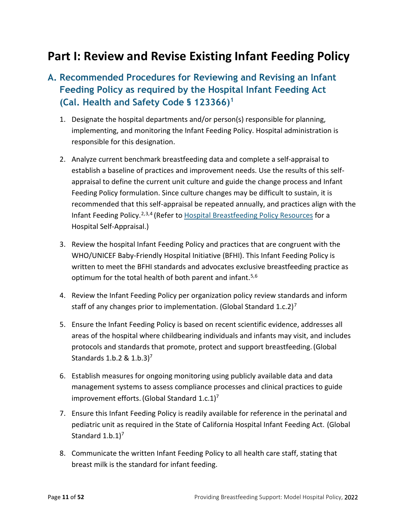## <span id="page-10-0"></span>**Part I: Review and Revise Existing Infant Feeding Policy**

## <span id="page-10-1"></span>**A. Recommended Procedures for Reviewing and Revising an Infant Feeding Policy as required by the Hospital Infant Feeding Act (Cal. Health and Safety Code § 123366[\)1](#page-12-1)**

- 1. Designate the hospital departments and/or person(s) responsible for planning, implementing, and monitoring the Infant Feeding Policy. Hospital administration is responsible for this designation.
- 2. Analyze current benchmark breastfeeding data and complete a self-appraisal to establish a baseline of practices and improvement needs. Use the results of this selfappraisal to define the current unit culture and guide the change process and Infant Feeding Policy formulation. Since culture changes may be difficult to sustain, it is recommended that this self-appraisal be repeated annually, and practices align with the Infant Feeding Policy.<sup>[2](#page-12-2),[3,](#page-12-3)[4](#page-13-0)</sup> (Refer t[o Hospital Breastfeeding Policy Resources](https://www.cdph.ca.gov/Programs/CFH/DMCAH/Breastfeeding/Pages/Hospital-Breastfeeding-Policy-Resources.aspx) for a Hospital Self-Appraisal.)
- 3. Review the hospital Infant Feeding Policy and practices that are congruent with the WHO/UNICEF Baby-Friendly Hospital Initiative (BFHI). This Infant Feeding Policy is written to meet the BFHI standards and advocates exclusive breastfeeding practice as optimum for the total health of both parent and infant.<sup>[5](#page-13-1)[,6](#page-13-2)</sup>
- <span id="page-10-4"></span><span id="page-10-3"></span><span id="page-10-2"></span>4. Review the Infant Feeding Policy per organization policy review standards and inform staff of any changes prior to implementation. (Global Standard 1.c.2)<sup>[7](#page-13-3)</sup>
- 5. Ensure the Infant Feeding Policy is based on recent scientific evidence, addresses all areas of the hospital where childbearing individuals and infants may visit, and includes protocols and standards that promote, protect and support breastfeeding.(Global Standards 1.b.2 &  $1.b.3$ <sup>7</sup>
- 6. Establish measures for ongoing monitoring using publicly available data and data management systems to assess compliance processes and clinical practices to guide improvement efforts. (Global Standard 1.c.1)<sup>7</sup>
- 7. Ensure this Infant Feeding Policy is readily available for reference in the perinatal and pediatric unit as required in the State of California Hospital Infant Feeding Act. (Global Standard  $1.b.1$ <sup>7</sup>
- 8. Communicate the written Infant Feeding Policy to all health care staff, stating that breast milk is the standard for infant feeding.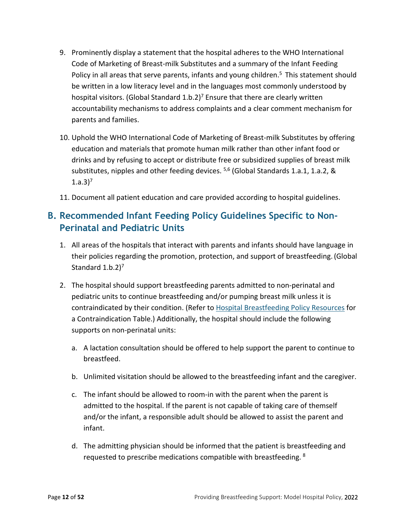- 9. Prominently display a statement that the hospital adheres to the WHO International Code of Marketing of Breast-milk Substitutes and a summary of the Infant Feeding Policy in all areas that serve parents, infants and young children.<sup>5</sup> This statement should be written in a low literacy level and in the languages most commonly understood by hospital visitors. (Global Standard 1.b.2)<sup>7</sup> Ensure that there are clearly written accountability mechanisms to address complaints and a clear comment mechanism for parents and families.
- 10. Uphold the WHO International Code of Marketing of Breast-milk Substitutes by offering education and materials that promote human milk rather than other infant food or drinks and by refusing to accept or distribute free or subsidized supplies of breast milk substitutes, nipples and other feeding devices.  $5,6$  $5,6$  (Global Standards 1.a.1, 1.a.2, &  $1.a.3$ <sup>7</sup>
- 11. Document all patient education and care provided according to hospital guidelines.

## <span id="page-11-0"></span>**B. Recommended Infant Feeding Policy Guidelines Specific to Non-Perinatal and Pediatric Units**

- 1. All areas of the hospitals that interact with parents and infants should have language in their policies regarding the promotion, protection, and support of breastfeeding.(Global Standard  $1.b.2$ <sup>7</sup>
- <span id="page-11-1"></span>2. The hospital should support breastfeeding parents admitted to non-perinatal and pediatric units to continue breastfeeding and/or pumping breast milk unless it is contraindicated by their condition. (Refer t[o Hospital Breastfeeding Policy Resources](https://www.cdph.ca.gov/Programs/CFH/DMCAH/Breastfeeding/Pages/Hospital-Breastfeeding-Policy-Resources.aspx) for a Contraindication Table.) Additionally, the hospital should include the following supports on non-perinatal units:
	- a. A lactation consultation should be offered to help support the parent to continue to breastfeed.
	- b. Unlimited visitation should be allowed to the breastfeeding infant and the caregiver.
	- c. The infant should be allowed to room-in with the parent when the parent is admitted to the hospital. If the parent is not capable of taking care of themself and/or the infant, a responsible adult should be allowed to assist the parent and infant.
	- d. The admitting physician should be informed that the patient is breastfeeding and requested to prescribe medications compatible with breastfeeding. <sup>[8](#page-13-4)</sup>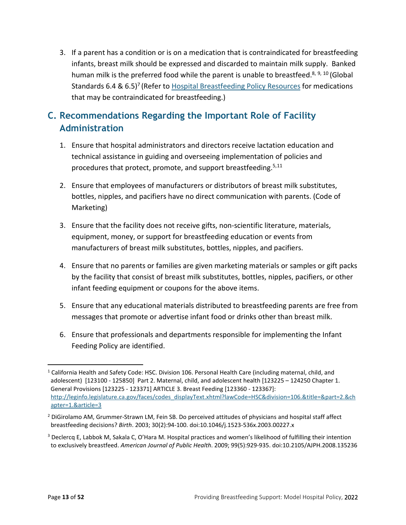3. If a parent has a condition or is on a medication that is contraindicated for breastfeeding infants, breast milk should be expressed and discarded to maintain milk supply. Banked human milk is the preferred food while the parent is unable to breastfeed.<sup>8, [9](#page-13-5), [10](#page-13-6)</sup> (Global Standards 6.4 & 6.5)<sup>7</sup> (Refer t[o Hospital Breastfeeding Policy Resources](https://www.cdph.ca.gov/Programs/CFH/DMCAH/Breastfeeding/Pages/Hospital-Breastfeeding-Policy-Resources.aspx) for medications that may be contraindicated for breastfeeding.)

## <span id="page-12-0"></span>**C. Recommendations Regarding the Important Role of Facility Administration**

- 1. Ensure that hospital administrators and directors receive lactation education and technical assistance in guiding and overseeing implementation of policies and procedures that protect, promote, and support breastfeeding.<sup>5,[11](#page-13-7)</sup>
- 2. Ensure that employees of manufacturers or distributors of breast milk substitutes, bottles, nipples, and pacifiers have no direct communication with parents. (Code of Marketing)
- 3. Ensure that the facility does not receive gifts, non-scientific literature, materials, equipment, money, or support for breastfeeding education or events from manufacturers of breast milk substitutes, bottles, nipples, and pacifiers.
- 4. Ensure that no parents or families are given marketing materials or samples or gift packs by the facility that consist of breast milk substitutes, bottles, nipples, pacifiers, or other infant feeding equipment or coupons for the above items.
- 5. Ensure that any educational materials distributed to breastfeeding parents are free from messages that promote or advertise infant food or drinks other than breast milk.
- 6. Ensure that professionals and departments responsible for implementing the Infant Feeding Policy are identified.

<span id="page-12-1"></span> $1$  California Health and Safety Code: HSC. Division 106. Personal Health Care (including maternal, child, and adolescent) [123100 - 125850] Part 2. Maternal, child, and adolescent health [123225 – 124250 Chapter 1. General Provisions [123225 - 123371] ARTICLE 3. Breast Feeding [123360 - 123367]: [http://leginfo.legislature.ca.gov/faces/codes\\_displayText.xhtml?lawCode=HSC&division=106.&title=&part=2.&ch](http://leginfo.legislature.ca.gov/faces/codes_displayText.xhtml?lawCode=HSC&division=106.&title=&part=2.&chapter=1.&article=3) [apter=1.&article=3](http://leginfo.legislature.ca.gov/faces/codes_displayText.xhtml?lawCode=HSC&division=106.&title=&part=2.&chapter=1.&article=3) 

<span id="page-12-2"></span><sup>&</sup>lt;sup>2</sup> DiGirolamo AM, Grummer-Strawn LM, Fein SB. Do perceived attitudes of physicians and hospital staff affect breastfeeding decisions? *Birth*. 2003; 30(2):94-100. doi:10.1046/j.1523-536x.2003.00227.x

<span id="page-12-3"></span> $3$  Declercq E, Labbok M, Sakala C, O'Hara M. Hospital practices and women's likelihood of fulfilling their intention to exclusively breastfeed. *American Journal of Public Health*. 2009; 99(5):929-935. doi:10.2105/AJPH.2008.135236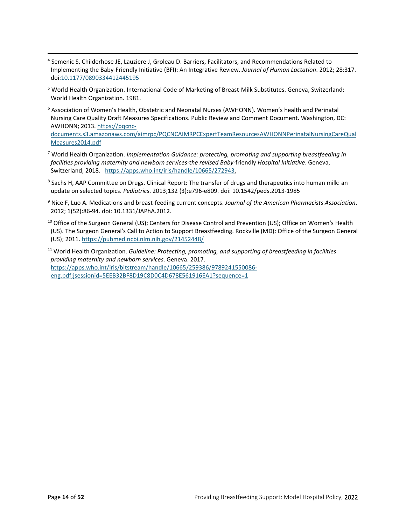- <span id="page-13-0"></span><sup>4</sup> Semenic S, Childerhose JE, Lauziere J, Groleau D. Barriers, Facilitators, and Recommendations Related to Implementing the Baby-Friendly Initiative (BFI): An Integrative Review. *Journal of Human Lactation*. 2012; 28:317. doi[:10.1177/0890334412445195](https://doi.org/10.1177/0890334412445195)
- <span id="page-13-1"></span><sup>5</sup> World Health Organization. International Code of Marketing of Breast-Milk Substitutes. Geneva, Switzerland: World Health Organization. 1981.
- <span id="page-13-2"></span><sup>6</sup> Association of Women's Health, Obstetric and Neonatal Nurses (AWHONN). Women's health and Perinatal Nursing Care Quality Draft Measures Specifications. Public Review and Comment Document. Washington, DC: AWHONN; 2013. [https://pqcnc](https://pqcnc-documents.s3.amazonaws.com/aimrpc/PQCNCAIMRPCExpertTeamResourcesAWHONNPerinatalNursingCareQualMeasures2014.pdf)[documents.s3.amazonaws.com/aimrpc/PQCNCAIMRPCExpertTeamResourcesAWHONNPerinatalNursingCareQual](https://pqcnc-documents.s3.amazonaws.com/aimrpc/PQCNCAIMRPCExpertTeamResourcesAWHONNPerinatalNursingCareQualMeasures2014.pdf) [Measures2014.pdf](https://pqcnc-documents.s3.amazonaws.com/aimrpc/PQCNCAIMRPCExpertTeamResourcesAWHONNPerinatalNursingCareQualMeasures2014.pdf)
- <span id="page-13-3"></span><sup>7</sup> World Health Organization. *Implementation Guidance: protecting, promoting and supporting breastfeeding in facilities providing maternity and newborn services-the revised Baby-*friendly *Hospital Initiative*. Geneva, Switzerland; 2018. [https://apps.who.int/iris/handle/10665/272943.](https://apps.who.int/iris/handle/10665/272943)
- <span id="page-13-4"></span><sup>8</sup> Sachs H, AAP Committee on Drugs. Clinical Report: The transfer of drugs and therapeutics into human milk: an update on selected topics. *Pediatrics*. 2013;132 (3):e796-e809. doi: 10.1542/peds.2013-1985
- <span id="page-13-5"></span><sup>9</sup> Nice F, Luo A. Medications and breast-feeding current concepts. *Journal of the American Pharmacists Association*. 2012; 1(52):86-94. doi: 10.1331/JAPhA.2012.
- <span id="page-13-6"></span> $10$  Office of the Surgeon General (US); Centers for Disease Control and Prevention (US); Office on Women's Health (US). The Surgeon General's Call to Action to Support Breastfeeding. Rockville (MD): Office of the Surgeon General (US); 2011[. https://pubmed.ncbi.nlm.nih.gov/21452448/](https://pubmed.ncbi.nlm.nih.gov/21452448/)
- <span id="page-13-7"></span><sup>11</sup> World Health Organization. *Guideline: Protecting, promoting, and supporting of breastfeeding in facilities providing maternity and newborn services*. Geneva. 2017. [https://apps.who.int/iris/bitstream/handle/10665/259386/9789241550086](https://apps.who.int/iris/bitstream/handle/10665/259386/9789241550086-eng.pdf;jsessionid=5EEB32BF8D19C8D0C4D678E561916EA1?sequence=1) [eng.pdf;jsessionid=5EEB32BF8D19C8D0C4D678E561916EA1?sequence=1](https://apps.who.int/iris/bitstream/handle/10665/259386/9789241550086-eng.pdf;jsessionid=5EEB32BF8D19C8D0C4D678E561916EA1?sequence=1)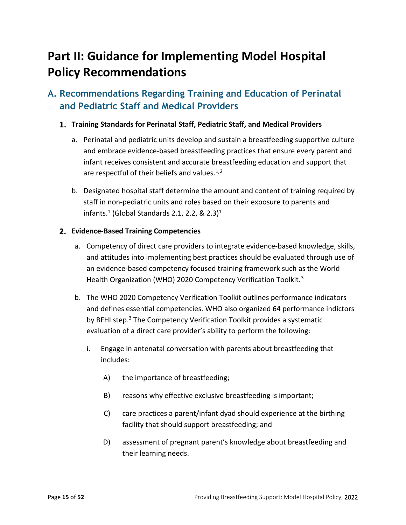## <span id="page-14-0"></span>**Part II: Guidance for Implementing Model Hospital Policy Recommendations**

## <span id="page-14-1"></span>**A. Recommendations Regarding Training and Education of Perinatal and Pediatric Staff and Medical Providers**

#### <span id="page-14-2"></span>**Training Standards for Perinatal Staff, Pediatric Staff, and Medical Providers**

- a. Perinatal and pediatric units develop and sustain a breastfeeding supportive culture and embrace evidence-based breastfeeding practices that ensure every parent and infant receives consistent and accurate breastfeeding education and support that are respectful of their beliefs and values.<sup>[1](#page-38-0),[2](#page-38-1)</sup>
- <span id="page-14-4"></span>b. Designated hospital staff determine the amount and content of training required by staff in non-pediatric units and roles based on their exposure to parents and infants. $^{1}$  $^{1}$  $^{1}$  (Global Standards 2.1, 2.2, & 2.3) $^{1}$

#### <span id="page-14-3"></span>**Evidence-Based Training Competencies**

- a. Competency of direct care providers to integrate evidence-based knowledge, skills, and attitudes into implementing best practices should be evaluated through use of an evidence-based competency focused training framework such as the World Health Organization (WHO) 2020 Competency Verification Toolkit.<sup>[3](#page-38-2)</sup>
- <span id="page-14-5"></span>b. The WHO 2020 Competency Verification Toolkit outlines performance indicators and defines essential competencies. WHO also organized 64 performance indictors by BFHI step.<sup>3</sup> The Competency Verification Toolkit provides a systematic evaluation of a direct care provider's ability to perform the following:
	- i. Engage in antenatal conversation with parents about breastfeeding that includes:
		- A) the importance of breastfeeding;
		- B) reasons why effective exclusive breastfeeding is important;
		- C) care practices a parent/infant dyad should experience at the birthing facility that should support breastfeeding; and
		- D) assessment of pregnant parent's knowledge about breastfeeding and their learning needs.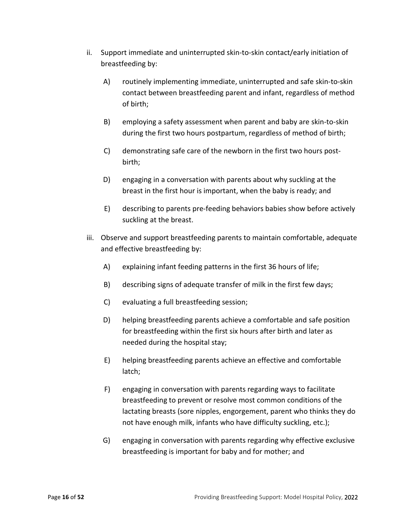- ii. Support immediate and uninterrupted skin-to-skin contact/early initiation of breastfeeding by:
	- A) routinely implementing immediate, uninterrupted and safe skin-to-skin contact between breastfeeding parent and infant, regardless of method of birth;
	- B) employing a safety assessment when parent and baby are skin-to-skin during the first two hours postpartum, regardless of method of birth;
	- C) demonstrating safe care of the newborn in the first two hours postbirth;
	- D) engaging in a conversation with parents about why suckling at the breast in the first hour is important, when the baby is ready; and
	- E) describing to parents pre-feeding behaviors babies show before actively suckling at the breast.
- iii. Observe and support breastfeeding parents to maintain comfortable, adequate and effective breastfeeding by:
	- A) explaining infant feeding patterns in the first 36 hours of life;
	- B) describing signs of adequate transfer of milk in the first few days;
	- C) evaluating a full breastfeeding session;
	- D) helping breastfeeding parents achieve a comfortable and safe position for breastfeeding within the first six hours after birth and later as needed during the hospital stay;
	- E) helping breastfeeding parents achieve an effective and comfortable latch;
	- F) engaging in conversation with parents regarding ways to facilitate breastfeeding to prevent or resolve most common conditions of the lactating breasts (sore nipples, engorgement, parent who thinks they do not have enough milk, infants who have difficulty suckling, etc.);
	- G) engaging in conversation with parents regarding why effective exclusive breastfeeding is important for baby and for mother; and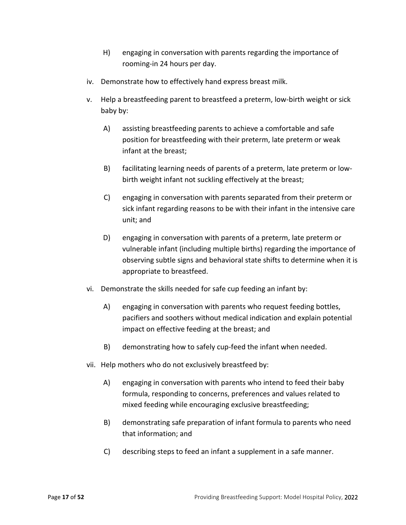- H) engaging in conversation with parents regarding the importance of rooming-in 24 hours per day.
- iv. Demonstrate how to effectively hand express breast milk.
- v. Help a breastfeeding parent to breastfeed a preterm, low-birth weight or sick baby by:
	- A) assisting breastfeeding parents to achieve a comfortable and safe position for breastfeeding with their preterm, late preterm or weak infant at the breast;
	- B) facilitating learning needs of parents of a preterm, late preterm or lowbirth weight infant not suckling effectively at the breast;
	- C) engaging in conversation with parents separated from their preterm or sick infant regarding reasons to be with their infant in the intensive care unit; and
	- D) engaging in conversation with parents of a preterm, late preterm or vulnerable infant (including multiple births) regarding the importance of observing subtle signs and behavioral state shifts to determine when it is appropriate to breastfeed.
- vi. Demonstrate the skills needed for safe cup feeding an infant by:
	- A) engaging in conversation with parents who request feeding bottles, pacifiers and soothers without medical indication and explain potential impact on effective feeding at the breast; and
	- B) demonstrating how to safely cup-feed the infant when needed.
- vii. Help mothers who do not exclusively breastfeed by:
	- A) engaging in conversation with parents who intend to feed their baby formula, responding to concerns, preferences and values related to mixed feeding while encouraging exclusive breastfeeding;
	- B) demonstrating safe preparation of infant formula to parents who need that information; and
	- C) describing steps to feed an infant a supplement in a safe manner.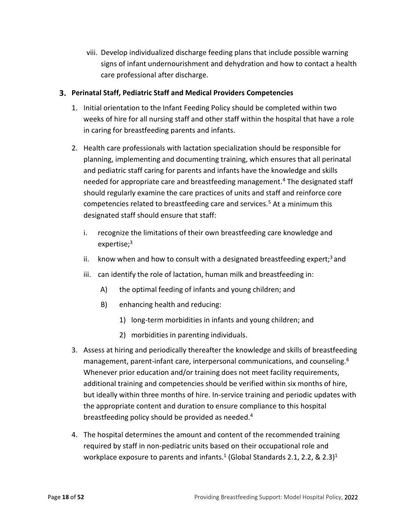viii. Develop individualized discharge feeding plans that include possible warning signs of infant undernourishment and dehydration and how to contact a health care professional after discharge.

#### <span id="page-17-0"></span>**Perinatal Staff, Pediatric Staff and Medical Providers Competencies**

- 1. Initial orientation to the Infant Feeding Policy should be completed within two weeks of hire for all nursing staff and other staff within the hospital that have a role in caring for breastfeeding parents and infants.
- <span id="page-17-1"></span>2. Health care professionals with lactation specialization should be responsible for planning, implementing and documenting training, which ensures that all perinatal and pediatric staff caring for parents and infants have the knowledge and skills needed for appropriate care and breastfeeding management[.4](#page-39-0) The designated staff should regularly examine the care practices of units and staff and reinforce core competencies related to breastfeeding care and services.<sup>[5](#page-39-1)</sup> At a minimum this designated staff should ensure that staff:
	- i. recognize the limitations of their own breastfeeding care knowledge and expertise;<sup>3</sup>
	- ii. know when and how to consult with a designated breastfeeding expert; $3$  and
	- iii. can identify the role of lactation, human milk and breastfeeding in:
		- A) the optimal feeding of infants and young children; and
		- B) enhancing health and reducing:
			- 1) long-term morbidities in infants and young children; and
			- 2) morbidities in parenting individuals.
- <span id="page-17-2"></span>3. Assess at hiring and periodically thereafter the knowledge and skills of breastfeeding management, parent-infant care, interpersonal communications, and counseling.<sup>6</sup> Whenever prior education and/or training does not meet facility requirements, additional training and competencies should be verified within six months of hire, but ideally within three months of hire. In-service training and periodic updates with the appropriate content and duration to ensure compliance to this hospital breastfeeding policy should be provided as needed.<sup>4</sup>
- 4. The hospital determines the amount and content of the recommended training required by staff in non-pediatric units based on their occupational role and workplace exposure to parents and infants.<sup>1</sup> (Global Standards 2[.1](#page-14-4), 2.2, & 2.3)<sup>[1](#page-14-4)</sup>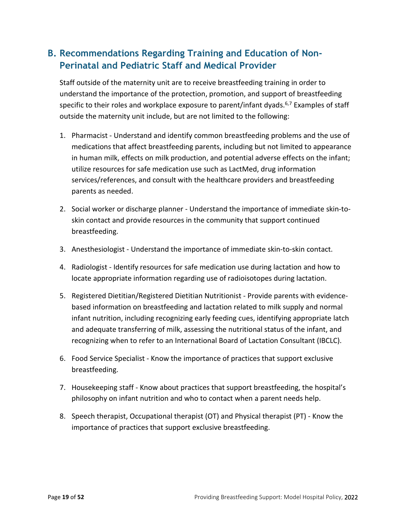### <span id="page-18-0"></span>**B. Recommendations Regarding Training and Education of Non-Perinatal and Pediatric Staff and Medical Provider**

Staff outside of the maternity unit are to receive breastfeeding training in order to understand the importance of the protection, promotion, and support of breastfeeding specific to their roles and workplace exposure to parent/infant dyads.<sup>6,[7](#page-39-3)</sup> Examples of staff outside the maternity unit include, but are not limited to the following:

- 1. Pharmacist Understand and identify common breastfeeding problems and the use of medications that affect breastfeeding parents, including but not limited to appearance in human milk, effects on milk production, and potential adverse effects on the infant; utilize resources for safe medication use such as LactMed, drug information services/references, and consult with the healthcare providers and breastfeeding parents as needed.
- 2. Social worker or discharge planner Understand the importance of immediate skin-toskin contact and provide resources in the community that support continued breastfeeding.
- 3. Anesthesiologist Understand the importance of immediate skin-to-skin contact.
- 4. Radiologist Identify resources for safe medication use during lactation and how to locate appropriate information regarding use of radioisotopes during lactation.
- 5. Registered Dietitian/Registered Dietitian Nutritionist Provide parents with evidencebased information on breastfeeding and lactation related to milk supply and normal infant nutrition, including recognizing early feeding cues, identifying appropriate latch and adequate transferring of milk, assessing the nutritional status of the infant, and recognizing when to refer to an International Board of Lactation Consultant (IBCLC).
- 6. Food Service Specialist Know the importance of practices that support exclusive breastfeeding.
- 7. Housekeeping staff Know about practices that support breastfeeding, the hospital's philosophy on infant nutrition and who to contact when a parent needs help.
- 8. Speech therapist, Occupational therapist (OT) and Physical therapist (PT) Know the importance of practices that support exclusive breastfeeding.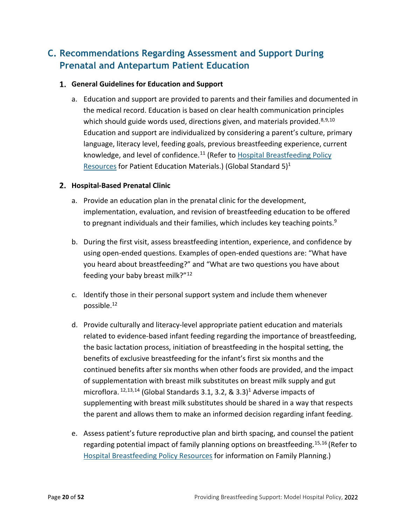## <span id="page-19-0"></span>**C. Recommendations Regarding Assessment and Support During Prenatal and Antepartum Patient Education**

#### <span id="page-19-1"></span>**General Guidelines for Education and Support**

<span id="page-19-3"></span>a. Education and support are provided to parents and their families and documented in the medical record. Education is based on clear health communication principles which should guide words used, directions given, and materials provided.  $8,9,10$  $8,9,10$  $8,9,10$  $8,9,10$ Education and support are individualized by considering a parent's culture, primary language, literacy level, feeding goals, previous breastfeeding experience, current knowledge, and level of confidence.<sup>[11](#page-39-7)</sup> (Refer to Hospital Breastfeeding Policy [Resources](https://www.cdph.ca.gov/Programs/CFH/DMCAH/Breastfeeding/Pages/Hospital-Breastfeeding-Policy-Resources.aspx) for Patient Education Materials.) (Global Standard  $5$ )<sup>1</sup>

#### <span id="page-19-2"></span>**Hospital-Based Prenatal Clinic**

- a. Provide an education plan in the prenatal clinic for the development, implementation, evaluation, and revision of breastfeeding education to be offered to pregnant individuals and their families, which includes key teaching points. $9$
- b. During the first visit, assess breastfeeding intention, experience, and confidence by using open-ended questions. Examples of open-ended questions are: "What have you heard about breastfeeding?" and "What are two questions you have about feeding your baby breast milk?"[12](#page-39-8)
- <span id="page-19-4"></span>c. Identify those in their personal support system and include them whenever possible[.12](#page-19-4)
- d. Provide culturally and literacy-level appropriate patient education and materials related to evidence-based infant feeding regarding the importance of breastfeeding, the basic lactation process, initiation of breastfeeding in the hospital setting, the benefits of exclusive breastfeeding for the infant's first six months and the continued benefits after six months when other foods are provided, and the impact of supplementation with breast milk substitutes on breast milk supply and gut microflora.  $12,13,14$  $12,13,14$  $12,13,14$  $12,13,14$  (Global Standards 3.1, 3.2, & 3.3)<sup>1</sup> Adverse impacts of supplementing with breast milk substitutes should be shared in a way that respects the parent and allows them to make an informed decision regarding infant feeding.
- <span id="page-19-8"></span><span id="page-19-7"></span><span id="page-19-6"></span><span id="page-19-5"></span>e. Assess patient's future reproductive plan and birth spacing, and counsel the patient regarding potential impact of family planning options on breastfeeding.<sup>[15,](#page-39-11)[16](#page-39-12)</sup> (Refer to [Hospital Breastfeeding Policy Resources](https://www.cdph.ca.gov/Programs/CFH/DMCAH/Breastfeeding/Pages/Hospital-Breastfeeding-Policy-Resources.aspx) for information on Family Planning.)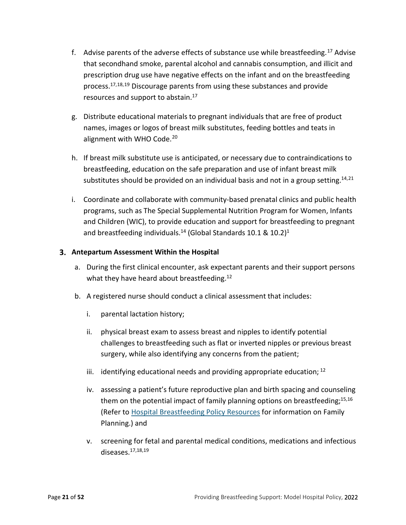- <span id="page-20-1"></span>f. Advise parents of the adverse effects of substance use while breastfeeding.<sup>[17](#page-39-13)</sup> Advise that secondhand smoke, parental alcohol and cannabis consumption, and illicit and prescription drug use have negative effects on the infant and on the breastfeeding process[.17,](#page-20-1)[18](#page-39-14),[19](#page-40-0) Discourage parents from using these substances and provide resources and support to abstain.<sup>17</sup>
- <span id="page-20-3"></span><span id="page-20-2"></span>g. Distribute educational materials to pregnant individuals that are free of product names, images or logos of breast milk substitutes, feeding bottles and teats in alignment with WHO Code.<sup>[20](#page-40-1)</sup>
- <span id="page-20-4"></span>h. If breast milk substitute use is anticipated, or necessary due to contraindications to breastfeeding, education on the safe preparation and use of infant breast milk substitutes should be provided on an individual basis and not in a group setting.  $14,21$  $14,21$
- i. Coordinate and collaborate with community-based prenatal clinics and public health programs, such as The Special Supplemental Nutrition Program for Women, Infants and Children (WIC), to provide education and support for breastfeeding to pregnant and breastfeeding individuals.<sup>14</sup> (Global Standards 10.1 & 10.2)<sup>1</sup>

#### <span id="page-20-0"></span>**Antepartum Assessment Within the Hospital**

- a. During the first clinical encounter, ask expectant parents and their support persons what they have heard about breastfeeding.<sup>12</sup>
- b. A registered nurse should conduct a clinical assessment that includes:
	- i. parental lactation history;
	- ii. physical breast exam to assess breast and nipples to identify potential challenges to breastfeeding such as flat or inverted nipples or previous breast surgery, while also identifying any concerns from the patient;
	- iii. identifying educational needs and providing appropriate education;  $^{12}$  $^{12}$  $^{12}$
	- iv. assessing a patient's future reproductive plan and birth spacing and counseling them on the potential impact of family planning options on breastfeeding; $15,16$  $15,16$ (Refer to [Hospital Breastfeeding Policy Resources](https://www.cdph.ca.gov/Programs/CFH/DMCAH/Breastfeeding/Pages/Hospital-Breastfeeding-Policy-Resources.aspx) for information on Family Planning.) and
	- v. screening for fetal and parental medical conditions, medications and infectious diseases[.17](#page-20-1)[,18](#page-20-2)[,19](#page-20-3)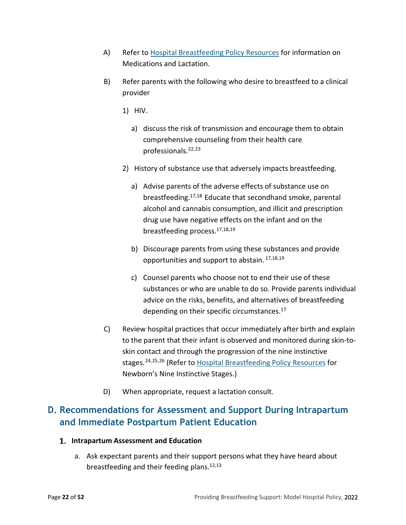- A) Refer t[o Hospital Breastfeeding Policy Resources](https://www.cdph.ca.gov/Programs/CFH/DMCAH/Breastfeeding/Pages/Hospital-Breastfeeding-Policy-Resources.aspx) for information on Medications and Lactation.
- B) Refer parents with the following who desire to breastfeed to a clinical provider
	- 1) HIV.
		- a) discuss the risk of transmission and encourage them to obtain comprehensive counseling from their health care professionals.[22](#page-40-3),[23](#page-40-4)
	- 2) History of substance use that adversely impacts breastfeeding.
		- a) Advise parents of the adverse effects of substance use on breastfeeding[.17,](#page-20-1)[18](#page-20-2) Educate that secondhand smoke, parental alcohol and cannabis consumption, and illicit and prescription drug use have negative effects on the infant and on the breastfeeding process.<sup>17,[18,](#page-20-2)[19](#page-20-3)</sup>
		- b) Discourage parents from using these substances and provide opportunities and support to abstain. [17,](#page-20-1)[18,](#page-20-2)[19](#page-20-3)
		- c) Counsel parents who choose not to end their use of these substances or who are unable to do so. Provide parents individual advice on the risks, benefits, and alternatives of breastfeeding depending on their specific circumstances. $^{17}$
- C) Review hospital practices that occur immediately after birth and explain to the parent that their infant is observed and monitored during skin-toskin contact and through the progression of the nine instinctive stages.<sup>[24](#page-40-5),[25,](#page-40-6)[26](#page-40-7)</sup> (Refer t[o Hospital Breastfeeding Policy Resources](https://www.cdph.ca.gov/Programs/CFH/DMCAH/Breastfeeding/Pages/Hospital-Breastfeeding-Policy-Resources.aspx) for Newborn's Nine Instinctive Stages.)
- <span id="page-21-4"></span><span id="page-21-3"></span><span id="page-21-2"></span>D) When appropriate, request a lactation consult.

## <span id="page-21-0"></span>**D. Recommendations for Assessment and Support During Intrapartum and Immediate Postpartum Patient Education**

#### <span id="page-21-1"></span>**Intrapartum Assessment and Education**

a. Ask expectant parents and their support persons what they have heard about breastfeeding and their feeding plans. $12,13$  $12,13$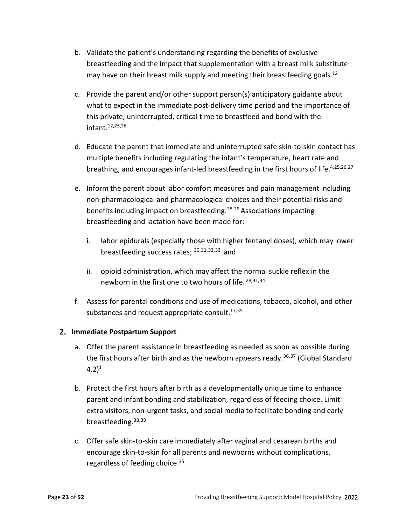- b. Validate the patient's understanding regarding the benefits of exclusive breastfeeding and the impact that supplementation with a breast milk substitute may have on their breast milk supply and meeting their breastfeeding goals.<sup>12</sup>
- c. Provide the parent and/or other support person(s) anticipatory guidance about what to expect in the immediate post-delivery time period and the importance of this private, uninterrupted, critical time to breastfeed and bond with the infant[.12,](#page-19-4)[25,](#page-21-2)[26](#page-21-3)
- d. Educate the parent that immediate and uninterrupted safe skin-to-skin contact has multiple benefits including regulating the infant's temperature, heart rate and breathing, and encourages infant-led breastfeeding in the first hours of life.<sup>4[,25,](#page-21-2)[26,](#page-21-3)[27](#page-40-8)</sup>
- <span id="page-22-1"></span>e. Inform the parent about labor comfort measures and pain management including non-pharmacological and pharmacological choices and their potential risks and benefits including impact on breastfeeding.<sup>28,[29](#page-40-10)</sup> Associations impacting breastfeeding and lactation have been made for:
	- i. labor epidurals (especially those with higher fentanyl doses), which may lower breastfeeding success rates; [30,](#page-40-11)[31,](#page-40-12)[32](#page-40-13),[33](#page-40-14) and
	- ii. opioid administration, which may affect the normal suckle reflex in the newborn in the first one to two hours of life. [28](#page-22-1)[,31,](#page-22-2)[34](#page-40-15)
- <span id="page-22-3"></span><span id="page-22-2"></span>f. Assess for parental conditions and use of medications, tobacco, alcohol, and other substances and request appropriate consult.<sup>17,[35](#page-40-16)</sup>

#### <span id="page-22-0"></span>**Immediate Postpartum Support**

- <span id="page-22-5"></span>a. Offer the parent assistance in breastfeeding as needed as soon as possible during the first hours after birth and as the newborn appears ready.<sup>[36,](#page-41-0)[37](#page-41-1)</sup> (Global Standard  $(4.2)^1$
- b. Protect the first hours after birth as a developmentally unique time to enhance parent and infant bonding and stabilization, regardless of feeding choice. Limit extra visitors, non-urgent tasks, and social media to facilitate bonding and early breastfeeding. [38,](#page-41-2)[39](#page-41-3)
- <span id="page-22-4"></span>c. Offer safe skin-to-skin care immediately after vaginal and cesarean births and encourage skin-to-skin for all parents and newborns without complications, regardless of feeding choice.<sup>35</sup>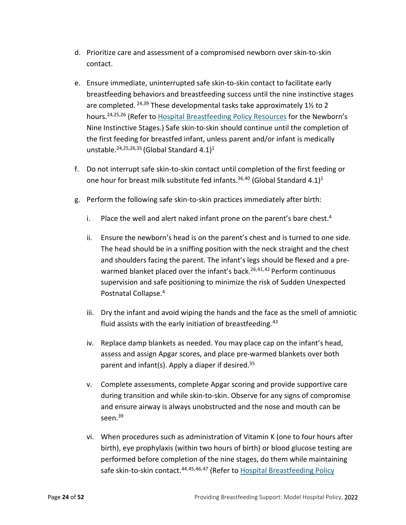- d. Prioritize care and assessment of a compromised newborn over skin-to-skin contact.
- e. Ensure immediate, uninterrupted safe skin-to-skin contact to facilitate early breastfeeding behaviors and breastfeeding success until the nine instinctive stages are completed.  $24,39$  $24,39$  These developmental tasks take approximately 1 $\frac{1}{2}$  to 2 hours[.24,](#page-21-4)[25,](#page-21-2)[26](#page-21-3) (Refer to [Hospital Breastfeeding Policy Resources](https://www.cdph.ca.gov/Programs/CFH/DMCAH/Breastfeeding/Pages/Hospital-Breastfeeding-Policy-Resources.aspx) for the Newborn's Nine Instinctive Stages.) Safe skin-to-skin should continue until the completion of the first feeding for breastfed infant, unless parent and/or infant is medically unstable.<sup>24,[25](#page-21-2)[,26](#page-21-3)[,35](#page-22-3)</sup> (Global Standard 4.1)<sup>1</sup>
- <span id="page-23-0"></span>f. Do not interrupt safe skin-to-skin contact until completion of the first feeding or one hour for breast milk substitute fed infants.<sup>36,[40](#page-41-4)</sup> (Global Standard 4.1)<sup>1</sup>
- <span id="page-23-3"></span><span id="page-23-2"></span><span id="page-23-1"></span>g. Perform the following safe skin-to-skin practices immediately after birth:
	- i. Place the well and alert naked infant prone on the parent's bare chest.<sup>4</sup>
	- ii. Ensure the newborn's head is on the parent's chest and is turned to one side. The head should be in a sniffing position with the neck straight and the chest and shoulders facing the parent. The infant's legs should be flexed and a pre-warmed blanket placed over the infant's back.<sup>26,[41,](#page-41-5)[42](#page-41-6)</sup> Perform continuous supervision and safe positioning to minimize the risk of Sudden Unexpected Postnatal Collapse[.4](#page-17-1)
	- iii. Dry the infant and avoid wiping the hands and the face as the smell of amniotic fluid assists with the early initiation of breastfeeding. $43$
	- iv. Replace damp blankets as needed. You may place cap on the infant's head, assess and assign Apgar scores, and place pre-warmed blankets over both parent and infant(s). Apply a diaper if desired. $35$
	- v. Complete assessments, complete Apgar scoring and provide supportive care during transition and while skin-to-skin. Observe for any signs of compromise and ensure airway is always unobstructed and the nose and mouth can be seen.<sup>39</sup>
	- vi. When procedures such as administration of Vitamin K (one to four hours after birth), eye prophylaxis (within two hours of birth) or blood glucose testing are performed before completion of the nine stages, do them while maintaining safe skin-to-skin contact.<sup>[44](#page-41-8),[45,](#page-41-9)[46](#page-41-10),[47](#page-41-11)</sup> (Refer to Hospital Breastfeeding Policy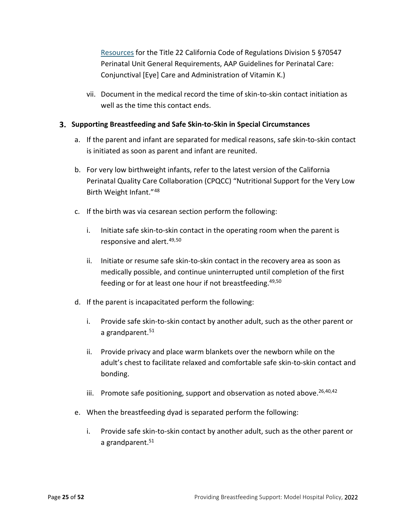[Resources](https://www.cdph.ca.gov/Programs/CFH/DMCAH/Breastfeeding/Pages/Hospital-Breastfeeding-Policy-Resources.aspx) for the Title 22 California Code of Regulations Division 5 §70547 Perinatal Unit General Requirements, AAP Guidelines for Perinatal Care: Conjunctival [Eye] Care and Administration of Vitamin K.)

vii. Document in the medical record the time of skin-to-skin contact initiation as well as the time this contact ends.

#### <span id="page-24-0"></span>**Supporting Breastfeeding and Safe Skin-to-Skin in Special Circumstances**

- a. If the parent and infant are separated for medical reasons, safe skin-to-skin contact is initiated as soon as parent and infant are reunited.
- b. For very low birthweight infants, refer to the latest version of the California Perinatal Quality Care Collaboration (CPQCC) "Nutritional Support for the Very Low Birth Weight Infant."[48](#page-41-12)
- <span id="page-24-2"></span><span id="page-24-1"></span>c. If the birth was via cesarean section perform the following:
	- i. Initiate safe skin-to-skin contact in the operating room when the parent is responsive and alert.[49,](#page-41-13)[50](#page-41-14)
	- ii. Initiate or resume safe skin-to-skin contact in the recovery area as soon as medically possible, and continue uninterrupted until completion of the first feeding or for at least one hour if not breastfeeding.<sup>49[,50](#page-24-2)</sup>
- <span id="page-24-3"></span>d. If the parent is incapacitated perform the following:
	- i. Provide safe skin-to-skin contact by another adult, such as the other parent or a grandparent. $51$
	- ii. Provide privacy and place warm blankets over the newborn while on the adult's chest to facilitate relaxed and comfortable safe skin-to-skin contact and bonding.
	- iii. Promote safe positioning, support and observation as noted above. $26,40,42$  $26,40,42$  $26,40,42$
- e. When the breastfeeding dyad is separated perform the following:
	- i. Provide safe skin-to-skin contact by another adult, such as the other parent or a grandparent.<sup>51</sup>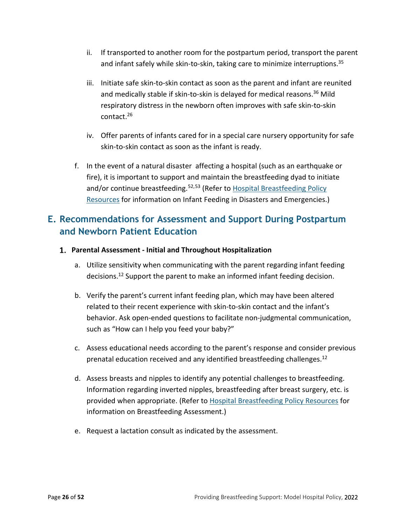- ii. If transported to another room for the postpartum period, transport the parent and infant safely while skin-to-skin, taking care to minimize interruptions.<sup>35</sup>
- iii. Initiate safe skin-to-skin contact as soon as the parent and infant are reunited and medically stable if skin-to-skin is delayed for medical reasons.<sup>36</sup> Mild respiratory distress in the newborn often improves with safe skin-to-skin contact[.26](#page-21-3)
- iv. Offer parents of infants cared for in a special care nursery opportunity for safe skin-to-skin contact as soon as the infant is ready.
- f. In the event of a natural disaster affecting a hospital (such as an earthquake or fire), it is important to support and maintain the breastfeeding dyad to initiate and/or continue breastfeeding.<sup>[52,](#page-41-16)[53](#page-42-0)</sup> (Refer to Hospital Breastfeeding Policy [Resources](https://www.cdph.ca.gov/Programs/CFH/DMCAH/Breastfeeding/Pages/Hospital-Breastfeeding-Policy-Resources.aspx) for information on Infant Feeding in Disasters and Emergencies.)

### <span id="page-25-0"></span>**E. Recommendations for Assessment and Support During Postpartum and Newborn Patient Education**

- <span id="page-25-1"></span>**Parental Assessment - Initial and Throughout Hospitalization** 
	- a. Utilize sensitivity when communicating with the parent regarding infant feeding decisions[.12](#page-19-4) Support the parent to make an informed infant feeding decision.
	- b. Verify the parent's current infant feeding plan, which may have been altered related to their recent experience with skin-to-skin contact and the infant's behavior. Ask open-ended questions to facilitate non-judgmental communication, such as "How can I help you feed your baby?"
	- c. Assess educational needs according to the parent's response and consider previous prenatal education received and any identified breastfeeding challenges.<sup>12</sup>
	- d. Assess breasts and nipples to identify any potential challenges to breastfeeding. Information regarding inverted nipples, breastfeeding after breast surgery, etc. is provided when appropriate. (Refer to [Hospital Breastfeeding Policy Resources](https://www.cdph.ca.gov/Programs/CFH/DMCAH/Breastfeeding/Pages/Hospital-Breastfeeding-Policy-Resources.aspx) for information on Breastfeeding Assessment.)
	- e. Request a lactation consult as indicated by the assessment.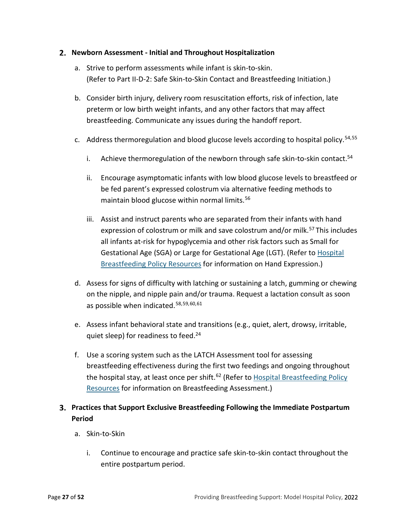#### <span id="page-26-0"></span>**Newborn Assessment - Initial and Throughout Hospitalization**

- a. Strive to perform assessments while infant is skin-to-skin. (Refer to Part II-D-2: Safe Skin-to-Skin Contact and Breastfeeding Initiation.)
- b. Consider birth injury, delivery room resuscitation efforts, risk of infection, late preterm or low birth weight infants, and any other factors that may affect breastfeeding. Communicate any issues during the handoff report.
- <span id="page-26-2"></span>c. Address thermoregulation and blood glucose levels according to hospital policy.  $54,55$  $54,55$  $54,55$ 
	- i. Achieve thermoregulation of the newborn through safe skin-to-skin contact. $54$
	- ii. Encourage asymptomatic infants with low blood glucose levels to breastfeed or be fed parent's expressed colostrum via alternative feeding methods to maintain blood glucose within normal limits. [56](#page-42-3)
	- iii. Assist and instruct parents who are separated from their infants with hand expression of colostrum or milk and save colostrum and/or milk.<sup>[57](#page-42-4)</sup> This includes all infants at-risk for hypoglycemia and other risk factors such as Small for Gestational Age (SGA) or Large for Gestational Age (LGT). (Refer t[o Hospital](https://www.cdph.ca.gov/Programs/CFH/DMCAH/Breastfeeding/Pages/Hospital-Breastfeeding-Policy-Resources.aspx)  [Breastfeeding Policy Resources](https://www.cdph.ca.gov/Programs/CFH/DMCAH/Breastfeeding/Pages/Hospital-Breastfeeding-Policy-Resources.aspx) for information on Hand Expression.)
- d. Assess for signs of difficulty with latching or sustaining a latch, gumming or chewing on the nipple, and nipple pain and/or trauma. Request a lactation consult as soon as possible when indicated. [58](#page-42-5),[59,](#page-42-6)[60](#page-42-7),[61](#page-42-8)
- e. Assess infant behavioral state and transitions (e.g., quiet, alert, drowsy, irritable, quiet sleep) for readiness to feed.<sup>24</sup>
- <span id="page-26-3"></span>f. Use a scoring system such as the LATCH Assessment tool for assessing breastfeeding effectiveness during the first two feedings and ongoing throughout the hospital stay, at least once per shift.<sup>62</sup> (Refer to Hospital Breastfeeding Policy [Resources](https://www.cdph.ca.gov/Programs/CFH/DMCAH/Breastfeeding/Pages/Hospital-Breastfeeding-Policy-Resources.aspx) for information on Breastfeeding Assessment.)

#### <span id="page-26-1"></span>**Practices that Support Exclusive Breastfeeding Following the Immediate Postpartum Period**

- a. Skin-to-Skin
	- i. Continue to encourage and practice safe skin-to-skin contact throughout the entire postpartum period.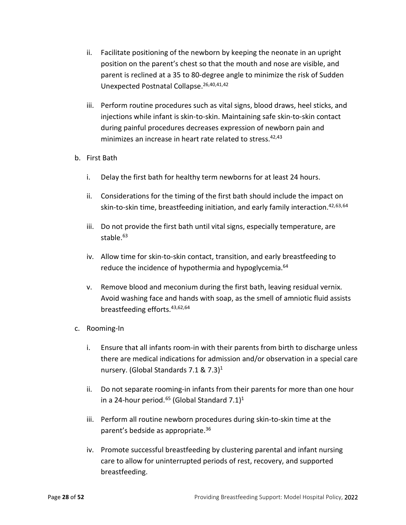- ii. Facilitate positioning of the newborn by keeping the neonate in an upright position on the parent's chest so that the mouth and nose are visible, and parent is reclined at a 35 to 80-degree angle to minimize the risk of Sudden Unexpected Postnatal Collapse. [26](#page-21-3)[,40,](#page-23-0)[41,](#page-23-2)[42](#page-23-1)
- iii. Perform routine procedures such as vital signs, blood draws, heel sticks, and injections while infant is skin-to-skin. Maintaining safe skin-to-skin contact during painful procedures decreases expression of newborn pain and minimizes an increase in heart rate related to stress.<sup>42,[43](#page-23-3)</sup>

#### b. First Bath

- i. Delay the first bath for healthy term newborns for at least 24 hours.
- <span id="page-27-1"></span><span id="page-27-0"></span>ii. Considerations for the timing of the first bath should include the impact on skin-to-skin time, breastfeeding initiation, and early family interaction.<sup>42,[63](#page-42-10),[64](#page-42-11)</sup>
- iii. Do not provide the first bath until vital signs, especially temperature, are stable.<sup>63</sup>
- iv. Allow time for skin-to-skin contact, transition, and early breastfeeding to reduce the incidence of hypothermia and hypoglycemia.<sup>64</sup>
- v. Remove blood and meconium during the first bath, leaving residual vernix. Avoid washing face and hands with soap, as the smell of amniotic fluid assists breastfeeding efforts[.43](#page-23-3)[,62](#page-26-3)[,64](#page-27-1)
- c. Rooming-In
	- i. Ensure that all infants room-in with their parents from birth to discharge unless there are medical indications for admission and/or observation in a special care nursery. (Global Standards 7.1 &  $7.3$ )<sup>1</sup>
	- ii. Do not separate rooming-in infants from their parents for more than one hour in a 24-hour period.<sup>65</sup> (Global Standard 7.1)<sup>1</sup>
	- iii. Perform all routine newborn procedures during skin-to-skin time at the parent's bedside as appropriate[.36](#page-22-5)
	- iv. Promote successful breastfeeding by clustering parental and infant nursing care to allow for uninterrupted periods of rest, recovery, and supported breastfeeding.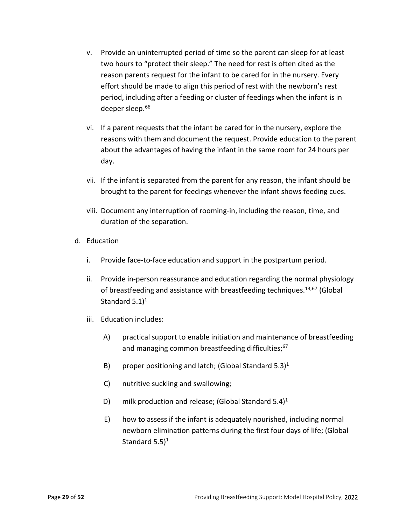- v. Provide an uninterrupted period of time so the parent can sleep for at least two hours to "protect their sleep." The need for rest is often cited as the reason parents request for the infant to be cared for in the nursery. Every effort should be made to align this period of rest with the newborn's rest period, including after a feeding or cluster of feedings when the infant is in deeper sleep.<sup>[66](#page-42-13)</sup>
- <span id="page-28-1"></span>vi. If a parent requests that the infant be cared for in the nursery, explore the reasons with them and document the request. Provide education to the parent about the advantages of having the infant in the same room for 24 hours per day.
- vii. If the infant is separated from the parent for any reason, the infant should be brought to the parent for feedings whenever the infant shows feeding cues.
- <span id="page-28-2"></span><span id="page-28-0"></span>viii. Document any interruption of rooming-in, including the reason, time, and duration of the separation.
- d. Education
	- i. Provide face-to-face education and support in the postpartum period.
	- ii. Provide in-person reassurance and education regarding the normal physiology of breastfeeding and assistance with breastfeeding techniques.<sup>13,[67](#page-42-14)</sup> (Global Standard  $5.1$ <sup>1</sup>
	- iii. Education includes:
		- A) practical support to enable initiation and maintenance of breastfeeding and managing common breastfeeding difficulties;<sup>67</sup>
		- B) proper positioning and latch; (Global Standard  $5.3$ )<sup>1</sup>
		- C) nutritive suckling and swallowing;
		- D) milk production and release; (Global Standard  $5.4$ )<sup>1</sup>
		- E) how to assess if the infant is adequately nourished, including normal newborn elimination patterns during the first four days of life; (Global Standard  $5.5$ <sup>1</sup>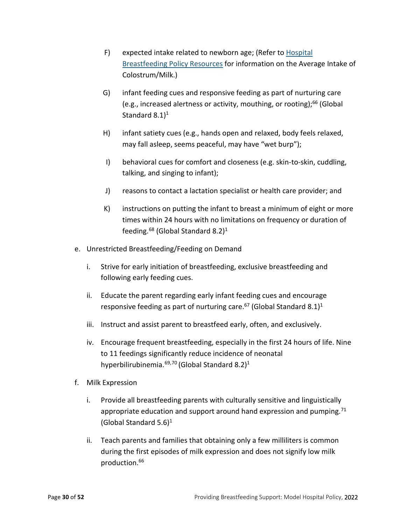- F) expected intake related to newborn age; (Refer to [Hospital](https://www.cdph.ca.gov/Programs/CFH/DMCAH/Breastfeeding/Pages/Hospital-Breastfeeding-Policy-Resources.aspx) [Breastfeeding Policy Resources](https://www.cdph.ca.gov/Programs/CFH/DMCAH/Breastfeeding/Pages/Hospital-Breastfeeding-Policy-Resources.aspx) for information on the Average Intake of Colostrum/Milk.)
- G) infant feeding cues and responsive feeding as part of nurturing care (e.g., increased alertness or activity, mouthing, or rooting);<sup>[66](#page-41-17)</sup> (Global Standard  $8.1$ <sup>1</sup>
- H) infant satiety cues (e.g., hands open and relaxed, body feels relaxed, may fall asleep, seems peaceful, may have "wet burp");
- I) behavioral cues for comfort and closeness (e.g. skin-to-skin, cuddling, talking, and singing to infant);
- J) reasons to contact a lactation specialist or health care provider; and
- K) instructions on putting the infant to breast a minimum of eight or more times within 24 hours with no limitations on frequency or duration of feeding.<sup>[68](#page-43-0)</sup> (Global Standard 8.2)<sup>1</sup>
- e. Unrestricted Breastfeeding/Feeding on Demand
	- i. Strive for early initiation of breastfeeding, exclusive breastfeeding and following early feeding cues.
	- ii. Educate the parent regarding early infant feeding cues and encourage responsive feeding as part of nurturing care.<sup>67</sup> (Global Standard 8.1)<sup>1</sup>
	- iii. Instruct and assist parent to breastfeed early, often, and exclusively.
	- iv. Encourage frequent breastfeeding, especially in the first 24 hours of life. Nine to 11 feedings significantly reduce incidence of neonatal hyperbilirubinemia.<sup>[69,](#page-43-1)[70](#page-43-2)</sup> (Global Standard 8.2)<sup>[1](#page-38-3)</sup>
- <span id="page-29-2"></span><span id="page-29-1"></span><span id="page-29-0"></span>f. Milk Expression
	- i. Provide all breastfeeding parents with culturally sensitive and linguistically appropriate education and support around hand expression and pumping. $71$ (Global Standard  $5.6$ )<sup>1</sup>
	- ii. Teach parents and families that obtaining only a few milliliters is common during the first episodes of milk expression and does not signify low milk production[.66](#page-28-1)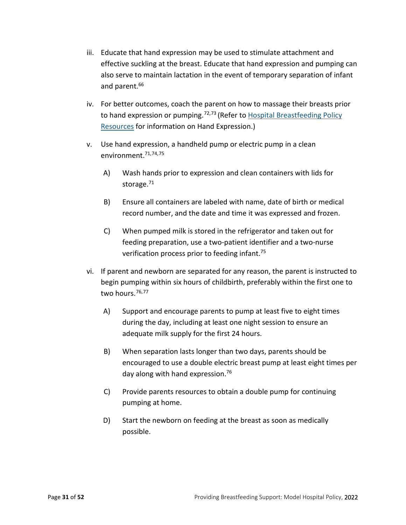- iii. Educate that hand expression may be used to stimulate attachment and effective suckling at the breast. Educate that hand expression and pumping can also serve to maintain lactation in the event of temporary separation of infant and parent. [66](#page-28-1)
- <span id="page-30-2"></span>iv. For better outcomes, coach the parent on how to massage their breasts prior to hand expression or pumping.<sup>[72,](#page-43-4)[73](#page-43-5)</sup> (Refer to Hospital Breastfeeding Policy [Resources](https://www.cdph.ca.gov/Programs/CFH/DMCAH/Breastfeeding/Pages/Hospital-Breastfeeding-Policy-Resources.aspx) for information on Hand Expression.)
- <span id="page-30-3"></span><span id="page-30-0"></span>v. Use hand expression, a handheld pump or electric pump in a clean environment[.71,](#page-29-0)[74](#page-43-6),[75](#page-43-7)
	- A) Wash hands prior to expression and clean containers with lids for storage. $71$
	- B) Ensure all containers are labeled with name, date of birth or medical record number, and the date and time it was expressed and frozen.
	- C) When pumped milk is stored in the refrigerator and taken out for feeding preparation, use a two-patient identifier and a two-nurse verification process prior to feeding infant.<sup>[75](#page-30-0)</sup>
- <span id="page-30-1"></span>vi. If parent and newborn are separated for any reason, the parent is instructed to begin pumping within six hours of childbirth, preferably within the first one to two hours. $76,77$  $76,77$  $76,77$ 
	- A) Support and encourage parents to pump at least five to eight times during the day, including at least one night session to ensure an adequate milk supply for the first 24 hours.
	- B) When separation lasts longer than two days, parents should be encouraged to use a double electric breast pump at least eight times per day along with hand expression[.76](#page-30-1)
	- C) Provide parents resources to obtain a double pump for continuing pumping at home.
	- D) Start the newborn on feeding at the breast as soon as medically possible.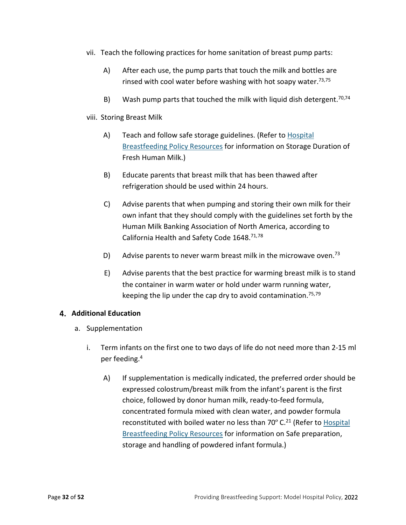- vii. Teach the following practices for home sanitation of breast pump parts:
	- A) After each use, the pump parts that touch the milk and bottles are rinsed with cool water before washing with hot soapy water.<sup>73,[75](#page-30-0)</sup>
	- B) Wash pump parts that touched the milk with liquid dish detergent.<sup>70[,74](#page-30-3)</sup>
- viii. Storing Breast Milk
	- A) Teach and follow safe storage guidelines. (Refer to [Hospital](https://www.cdph.ca.gov/Programs/CFH/DMCAH/Breastfeeding/Pages/Hospital-Breastfeeding-Policy-Resources.aspx) [Breastfeeding Policy Resources](https://www.cdph.ca.gov/Programs/CFH/DMCAH/Breastfeeding/Pages/Hospital-Breastfeeding-Policy-Resources.aspx) for information on Storage Duration of Fresh Human Milk.)
	- B) Educate parents that breast milk that has been thawed after refrigeration should be used within 24 hours.
	- C) Advise parents that when pumping and storing their own milk for their own infant that they should comply with the guidelines set forth by the Human Milk Banking Association of North America, according to California Health and Safety Code 1648[.71,](#page-29-0)[78](#page-43-10)
	- D) Advise parents to never warm breast milk in the microwave oven.<sup>73</sup>
	- E) Advise parents that the best practice for warming breast milk is to stand the container in warm water or hold under warm running water, keeping the lip under the cap dry to avoid contamination.<sup>75,[79](#page-43-11)</sup>

#### <span id="page-31-0"></span>**Additional Education**

- a. Supplementation
	- i. Term infants on the first one to two days of life do not need more than 2-15 ml per feeding[.4](#page-17-1)
		- A) If supplementation is medically indicated, the preferred order should be expressed colostrum/breast milk from the infant's parent is the first choice, followed by donor human milk, ready-to-feed formula, concentrated formula mixed with clean water, and powder formula reconstituted with boiled water no less than 70° C.<sup>21</sup> (Refer t[o Hospital](https://www.cdph.ca.gov/Programs/CFH/DMCAH/Breastfeeding/Pages/Hospital-Breastfeeding-Policy-Resources.aspx) [Breastfeeding Policy Resources](https://www.cdph.ca.gov/Programs/CFH/DMCAH/Breastfeeding/Pages/Hospital-Breastfeeding-Policy-Resources.aspx) for information on Safe preparation, storage and handling of powdered infant formula.)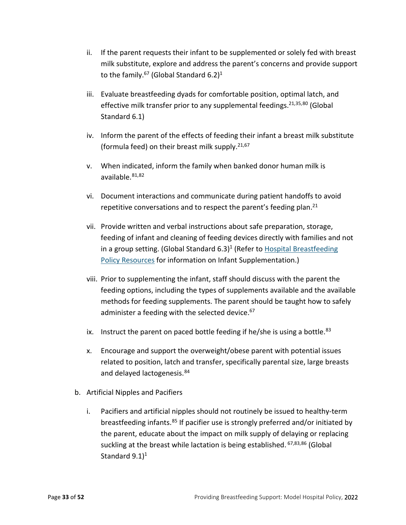- ii. If the parent requests their infant to be supplemented or solely fed with breast milk substitute, explore and address the parent's concerns and provide support to the family.<sup>67</sup> (Global Standard 6.2)<sup>1</sup>
- iii. Evaluate breastfeeding dyads for comfortable position, optimal latch, and effective milk transfer prior to any supplemental feedings.<sup>21,[35,](#page-22-3)[80](#page-43-12)</sup> (Global Standard 6.1)
- iv. Inform the parent of the effects of feeding their infant a breast milk substitute (formula feed) on their breast milk supply.<sup>[21,](#page-20-4)[67](#page-28-0)</sup>
- v. When indicated, inform the family when banked donor human milk is available. $81,82$  $81,82$  $81,82$
- vi. Document interactions and communicate during patient handoffs to avoid repetitive conversations and to respect the parent's feeding plan.<sup>21</sup>
- vii. Provide written and verbal instructions about safe preparation, storage, feeding of infant and cleaning of feeding devices directly with families and not in a group setting. (Global Standard  $6.3$ )<sup>1</sup> (Refer to [Hospital Breastfeeding](https://www.cdph.ca.gov/Programs/CFH/DMCAH/Breastfeeding/Pages/Hospital-Breastfeeding-Policy-Resources.aspx) [Policy Resources](https://www.cdph.ca.gov/Programs/CFH/DMCAH/Breastfeeding/Pages/Hospital-Breastfeeding-Policy-Resources.aspx) for information on Infant Supplementation.)
- viii. Prior to supplementing the infant, staff should discuss with the parent the feeding options, including the types of supplements available and the available methods for feeding supplements. The parent should be taught how to safely administer a feeding with the selected device.<sup>[67](#page-28-0)</sup>
- <span id="page-32-0"></span>ix. Instruct the parent on paced bottle feeding if he/she is using a bottle. $83$
- x. Encourage and support the overweight/obese parent with potential issues related to position, latch and transfer, specifically parental size, large breasts and delayed lactogenesis.<sup>[84](#page-43-16)</sup>
- b. Artificial Nipples and Pacifiers
	- i. Pacifiers and artificial nipples should not routinely be issued to healthy-term breastfeeding infants.<sup>[85](#page-43-17)</sup> If pacifier use is strongly preferred and/or initiated by the parent, educate about the impact on milk supply of delaying or replacing suckling at the breast while lactation is being established. [67,](#page-28-0)[83,](#page-32-0)[86](#page-44-2) (Global Standard  $9.1$ <sup>1</sup>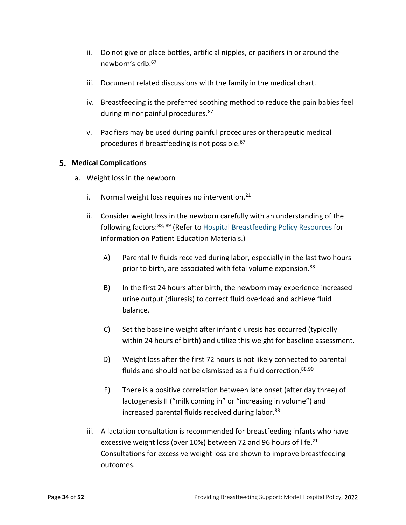- ii. Do not give or place bottles, artificial nipples, or pacifiers in or around the newborn's crib[.67](#page-28-0)
- iii. Document related discussions with the family in the medical chart.
- <span id="page-33-2"></span>iv. Breastfeeding is the preferred soothing method to reduce the pain babies feel during minor painful procedures.<sup>[87](#page-44-3)</sup>
- v. Pacifiers may be used during painful procedures or therapeutic medical procedures if breastfeeding is not possible. [67](#page-28-0)

#### <span id="page-33-0"></span>**Medical Complications**

- <span id="page-33-1"></span>a. Weight loss in the newborn
	- i. Normal weight loss requires no intervention. $21$
	- ii. Consider weight loss in the newborn carefully with an understanding of the following factors:<sup>[88,](#page-44-4) [89](#page-44-5)</sup> (Refer to [Hospital Breastfeeding Policy Resources](https://www.cdph.ca.gov/Programs/CFH/DMCAH/Breastfeeding/Pages/Hospital-Breastfeeding-Policy-Resources.aspx) for information on Patient Education Materials.)
		- A) Parental IV fluids received during labor, especially in the last two hours prior to birth, are associated with fetal volume expansion.<sup>88</sup>
		- B) In the first 24 hours after birth, the newborn may experience increased urine output (diuresis) to correct fluid overload and achieve fluid balance.
		- C) Set the baseline weight after infant diuresis has occurred (typically within 24 hours of birth) and utilize this weight for baseline assessment.
		- D) Weight loss after the first 72 hours is not likely connected to parental fluids and should not be dismissed as a fluid correction.  $88,90$  $88,90$
		- E) There is a positive correlation between late onset (after day three) of lactogenesis II ("milk coming in" or "increasing in volume") and increased parental fluids received during labor.<sup>88</sup>
	- iii. A lactation consultation is recommended for breastfeeding infants who have excessive weight loss (over 10%) between 72 and 96 hours of life.<sup>21</sup> Consultations for excessive weight loss are shown to improve breastfeeding outcomes.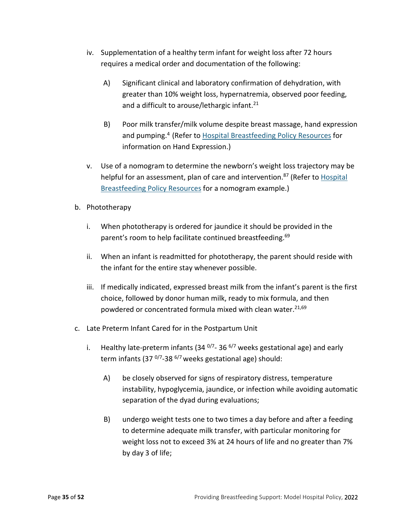- iv. Supplementation of a healthy term infant for weight loss after 72 hours requires a medical order and documentation of the following:
	- A) Significant clinical and laboratory confirmation of dehydration, with greater than 10% weight loss, hypernatremia, observed poor feeding, and a difficult to arouse/lethargic infant.<sup>21</sup>
	- B) Poor milk transfer/milk volume despite breast massage, hand expression and pumping.<sup>4</sup> (Refer to [Hospital Breastfeeding Policy Resources](https://www.cdph.ca.gov/Programs/CFH/DMCAH/Breastfeeding/Pages/Hospital-Breastfeeding-Policy-Resources.aspx) for information on Hand Expression.)
- v. Use of a nomogram to determine the newborn's weight loss trajectory may be helpful for an assessment, plan of care and intervention.<sup>87</sup> (Refer to Hospital [Breastfeeding Policy Resources](https://www.cdph.ca.gov/Programs/CFH/DMCAH/Breastfeeding/Pages/Hospital-Breastfeeding-Policy-Resources.aspx) for [a nomogram](file://PHTMSISILON00.TMSPFILE.CDPHINTRA.CA.GOV/PVDI-Redir/Desktop/SHaydu/Desktop/nomogram) example.)
- b. Phototherapy
	- i. When phototherapy is ordered for jaundice it should be provided in the parent's room to help facilitate continued breastfeeding.<sup>69</sup>
	- ii. When an infant is readmitted for phototherapy, the parent should reside with the infant for the entire stay whenever possible.
	- iii. If medically indicated, expressed breast milk from the infant's parent is the first choice, followed by donor human milk, ready to mix formula, and then powdered or concentrated formula mixed with clean water.<sup>21,[69](#page-29-2)</sup>
- c. Late Preterm Infant Cared for in the Postpartum Unit
	- i. Healthy late-preterm infants (34  $^{0/7}$ -36  $^{6/7}$  weeks gestational age) and early term infants (37 $^{0/7}$ -38 $^{6/7}$  weeks gestational age) should:
		- A) be closely observed for signs of respiratory distress, temperature instability, hypoglycemia, jaundice, or infection while avoiding automatic separation of the dyad during evaluations;
		- B) undergo weight tests one to two times a day before and after a feeding to determine adequate milk transfer, with particular monitoring for weight loss not to exceed 3% at 24 hours of life and no greater than 7% by day 3 of life;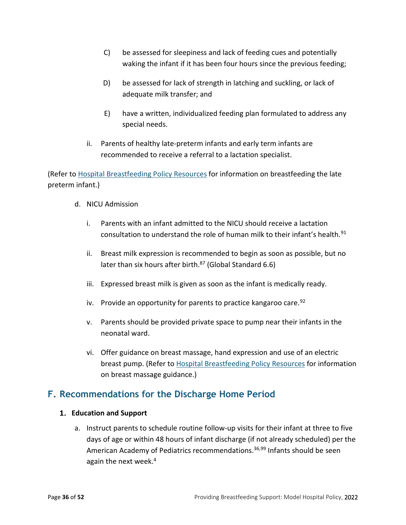- C) be assessed for sleepiness and lack of feeding cues and potentially waking the infant if it has been four hours since the previous feeding;
- D) be assessed for lack of strength in latching and suckling, or lack of adequate milk transfer; and
- E) have a written, individualized feeding plan formulated to address any special needs.
- ii. Parents of healthy late-preterm infants and early term infants are recommended to receive a referral to a lactation specialist.

(Refer t[o Hospital Breastfeeding Policy Resources](https://www.cdph.ca.gov/Programs/CFH/DMCAH/Breastfeeding/Pages/Hospital-Breastfeeding-Policy-Resources.aspx) for information on breastfeeding the late preterm infant.)

- d. NICU Admission
	- i. Parents with an infant admitted to the NICU should receive a lactation consultation to understand the role of human milk to their infant's health.<sup>[91](#page-44-7)</sup>
	- ii. Breast milk expression is recommended to begin as soon as possible, but no later than six hours after birth.<sup>87</sup> (Global Standard 6.6)
	- iii. Expressed breast milk is given as soon as the infant is medically ready.
	- iv. Provide an opportunity for parents to practice kangaroo care.  $92$
	- v. Parents should be provided private space to pump near their infants in the neonatal ward.
	- vi. Offer guidance on breast massage, hand expression and use of an electric breast pump. (Refer t[o Hospital Breastfeeding Policy Resources](https://www.cdph.ca.gov/Programs/CFH/DMCAH/Breastfeeding/Pages/Hospital-Breastfeeding-Policy-Resources.aspx) for information on breast massage guidance.)

### <span id="page-35-0"></span>**F. Recommendations for the Discharge Home Period**

#### <span id="page-35-1"></span>**Education and Support**

a. Instruct parents to schedule routine follow-up visits for their infant at three to five days of age or within 48 hours of infant discharge (if not already scheduled) per the American Academy of Pediatrics recommendations.<sup>[36](#page-40-17)[,99](#page-37-0)</sup> Infants should be seen again the next week. $4$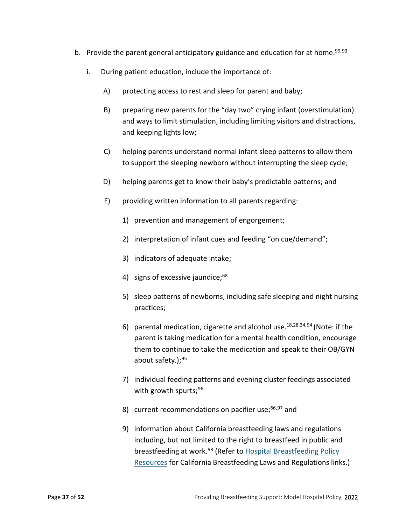- b. Provide the parent general anticipatory guidance and education for at home.<sup>99,[93](#page-44-9)</sup>
	- i. During patient education, include the importance of:
		- A) protecting access to rest and sleep for parent and baby;
		- B) preparing new parents for the "day two" crying infant (overstimulation) and ways to limit stimulation, including limiting visitors and distractions, and keeping lights low;
		- C) helping parents understand normal infant sleep patterns to allow them to support the sleeping newborn without interrupting the sleep cycle;
		- D) helping parents get to know their baby's predictable patterns; and
		- E) providing written information to all parents regarding:
			- 1) prevention and management of engorgement;
			- 2) interpretation of infant cues and feeding "on cue/demand";
			- 3) indicators of adequate intake;
			- 4) signs of excessive jaundice; $68$
			- 5) sleep patterns of newborns, including safe sleeping and night nursing practices;
			- 6) parental medication, cigarette and alcohol use. $18,28,34,94$  $18,28,34,94$  (Note: if the parent is taking medication for a mental health condition, encourage them to continue to take the medication and speak to their OB/GYN about safety.); $95$
			- 7) individual feeding patterns and evening cluster feedings associated with growth spurts;  $96$
			- 8) current recommendations on pacifier use; $66,97$  $66,97$  and
			- 9) information about California breastfeeding laws and regulations including, but not limited to the right to breastfeed in public and breastfeeding at work.<sup>[98](#page-44-14)</sup> (Refer to Hospital Breastfeeding Policy [Resources](https://www.cdph.ca.gov/Programs/CFH/DMCAH/Breastfeeding/Pages/Hospital-Breastfeeding-Policy-Resources.aspx) for California Breastfeeding Laws and Regulations links.)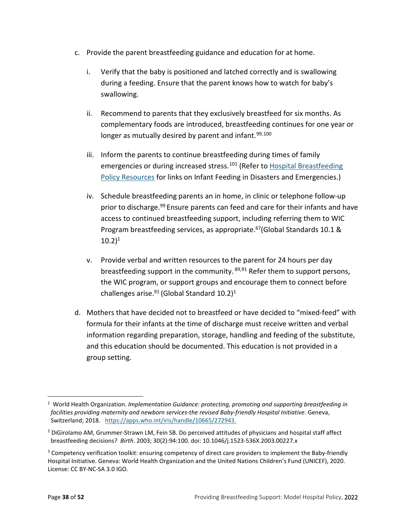- <span id="page-37-0"></span>c. Provide the parent breastfeeding guidance and education for at home.
	- i. Verify that the baby is positioned and latched correctly and is swallowing during a feeding. Ensure that the parent knows how to watch for baby's swallowing.
	- ii. Recommend to parents that they exclusively breastfeed for six months. As complementary foods are introduced, breastfeeding continues for one year or longer as mutually desired by parent and infant.  $99,100$  $99,100$
	- iii. Inform the parents to continue breastfeeding during times of family emergencies or during increased stress.<sup>[101](#page-44-17)</sup> (Refer to Hospital Breastfeeding [Policy Resources](https://www.cdph.ca.gov/Programs/CFH/DMCAH/Breastfeeding/Pages/Hospital-Breastfeeding-Policy-Resources.aspx) for links on Infant Feeding in Disasters and Emergencies.)
	- iv. Schedule breastfeeding parents an in home, in clinic or telephone follow-up prior to discharge.<sup>99</sup> Ensure parents can feed and care for their infants and have access to continued breastfeeding support, including referring them to WIC Program breastfeeding services, as appropriate.<sup>67</sup>(Global Standards 10.1 &  $10.2)^1$
	- v. Provide verbal and written resources to the parent for 24 hours per day breastfeeding support in the community. <sup>89,91</sup> Refer them to support persons, the WIC program, or support groups and encourage them to connect before challenges arise. $91$  (Global Standard 10.2)<sup>1</sup>
- d. Mothers that have decided not to breastfeed or have decided to "mixed-feed" with formula for their infants at the time of discharge must receive written and verbal information regarding preparation, storage, handling and feeding of the substitute, and this education should be documented. This education is not provided in a group setting.

<sup>&</sup>lt;sup>1</sup> World Health Organization. *Implementation Guidance: protecting, promoting and supporting breastfeeding in facilities providing maternity and newborn services-the revised Baby-friendly Hospital Initiative*. Geneva, Switzerland; 2018. [https://apps.who.int/iris/handle/10665/272943.](https://apps.who.int/iris/handle/10665/272943)

<sup>&</sup>lt;sup>2</sup> DiGirolamo AM, Grummer-Strawn LM, Fein SB. Do perceived attitudes of physicians and hospital staff affect breastfeeding decisions? *Birth*. 2003; 30(2):94:100. doi: 10.1046/j.1523-536X.2003.00227.x

<sup>&</sup>lt;sup>3</sup> Competency verification toolkit: ensuring competency of direct care providers to implement the Baby-friendly Hospital Initiative. Geneva: World Health Organization and the United Nations Children's Fund (UNICEF), 2020. License: CC BY-NC-SA 3.0 IGO.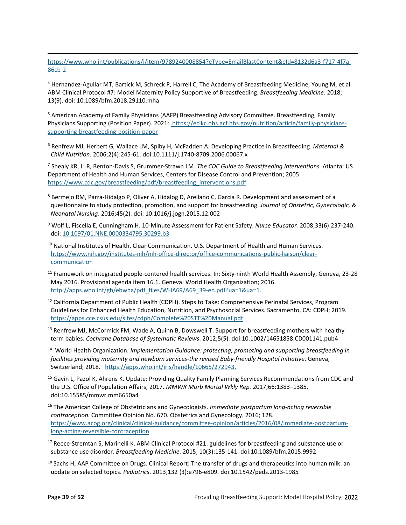<span id="page-38-3"></span>[https://www.who.int/publications/i/item/9789240008854?eType=EmailBlastContent&eId=8132d6a3-f717-4f7a-](https://www.who.int/publications/i/item/9789240008854?eType=EmailBlastContent&eId=8132d6a3-f717-4f7a-86cb-2%20%20%20%20%20%20)[86cb-2](https://www.who.int/publications/i/item/9789240008854?eType=EmailBlastContent&eId=8132d6a3-f717-4f7a-86cb-2%20%20%20%20%20%20) 

<sup>4</sup> Hernandez-Aguilar MT, Bartick M, Schreck P, Harrell C, The Academy of Breastfeeding Medicine, Young M, et al. ABM Clinical Protocol #7: Model Maternity Policy Supportive of Breastfeeding. *Breastfeeding Medicine*. 2018; 13(9). doi: 10.1089/bfm.2018.29110.mha

<sup>5</sup> American Academy of Family Physicians (AAFP) Breastfeeding Advisory Committee. Breastfeeding, Family Physicians Supporting (Position Paper). 2021: https://eclkc.ohs.acf.hhs.gov/nutrition/article/family-physicianssupporting-breastfeeding-position-paper

<sup>6</sup> Renfrew MJ, Herbert G, Wallace LM, Spiby H, McFadden A. Developing Practice in Breastfeeding*. Maternal & Child Nutrition*. 2006;2(4):245-61. doi:10.1111/j.1740-8709.2006.00067.x

<sup>7</sup> Shealy KR, Li R, Benton-Davis S, Grummer-Strawn LM. *The CDC Guide to Breastfeeding Interventions.* Atlanta: US Department of Health and Human Services, Centers for Disease Control and Prevention; 2005. [https://www.cdc.gov/breastfeeding/pdf/breastfeeding\\_interventions.pdf](https://www.cdc.gov/breastfeeding/pdf/breastfeeding_interventions.pdf)

- <sup>8</sup> Bermejo RM, Parra-Hidalgo P, Oliver A, Hidalog D, Arellano C, Garcia R. Development and assessment of a questionnaire to study protection, promotion, and support for breastfeeding. *Journal of Obstetric, Gynecologic, & Neonatal Nursing*. 2016;45(2). doi: 10.1016/j.jogn.2015.12.002
- <sup>9</sup> Wolf L, Fiscella E, Cunningham H. 10-Minute Assessment for Patient Safety. *Nurse Educator.* 2008;33(6):237-240. doi[: 10.1097/01.NNE.0000334795.30299.b3](https://doi.org/10.1097/01.nne.0000334795.30299.b3)
- <sup>10</sup> National Institutes of Health. Clear Communication. U.S. Department of Health and Human Services. [https://www.nih.gov/institutes-nih/nih-office-director/office-communications-public-liaison/clear](https://www.nih.gov/institutes-nih/nih-office-director/office-communications-public-liaison/clear-communication)[communication](https://www.nih.gov/institutes-nih/nih-office-director/office-communications-public-liaison/clear-communication)
- $11$  Framework on integrated people-centered health services. In: Sixty-ninth World Health Assembly, Geneva, 23-28 May 2016. Provisional agenda item 16.1. Geneva: World Health Organization; 2016. [http://apps.who.int/gb/ebwha/pdf\\_files/WHA69/A69\\_39-en.pdf?ua=1&ua=1.](http://apps.who.int/gb/ebwha/pdf_files/WHA69/A69_39-en.pdf?ua=1&ua=1)
- <sup>12</sup> California Department of Public Health (CDPH). Steps to Take: Comprehensive Perinatal Services, Program Guidelines for Enhanced Health Education, Nutrition, and Psychosocial Services. Sacramento, CA: CDPH; 2019. <https://apps.cce.csus.edu/sites/cdph/Complete%20STT%20Manual.pdf>
- <sup>13</sup> Renfrew MJ, McCormick FM, Wade A, Quinn B, Dowswell T. Support for breastfeeding mothers with healthy term babies. *Cochrane Database of Systematic Reviews*. 2012;5(5). doi:10.1002/14651858.CD001141.pub4
- 14 World Health Organization. *Implementation Guidance: protecting, promoting and supporting breastfeeding in facilities providing maternity and newborn services-the revised Baby-friendly Hospital Initiative*. Geneva, Switzerland; 2018. [https://apps.who.int/iris/handle/10665/272943.](https://apps.who.int/iris/handle/10665/272943)
- <sup>15</sup> Gavin L, Pazol K, Ahrens K. Update: Providing Quality Family Planning Services Recommendations from CDC and the U.S. Office of Population Affairs, 2017. *MMWR Morb Mortal Wkly Rep.* 2017;66:1383–1385. doi:10.15585/mmwr.mm6650a4
- <span id="page-38-0"></span><sup>16</sup> The American College of Obstetricians and Gynecologists. *Immediate postpartum long-acting reversible contraception.* Committee Opinion No. 670. Obstetrics and Gynecology. 2016; 128. [https://www.acog.org/clinical/clinical-guidance/committee-opinion/articles/2016/08/immediate-postpartum](https://www.acog.org/clinical/clinical-guidance/committee-opinion/articles/2016/08/immediate-postpartum-long-acting-reversible-contraception)[long-acting-reversible-contraception](https://www.acog.org/clinical/clinical-guidance/committee-opinion/articles/2016/08/immediate-postpartum-long-acting-reversible-contraception)
- <span id="page-38-2"></span><span id="page-38-1"></span><sup>17</sup> Reece-Stremtan S, Marinelli K. ABM Clinical Protocol #21: guidelines for breastfeeding and substance use or substance use disorder. *Breastfeeding Medicine*. 2015; 10(3):135-141. doi:10.1089/bfm.2015.9992
- $18$  Sachs H, AAP Committee on Drugs. Clinical Report: The transfer of drugs and therapeutics into human milk: an update on selected topics. *Pediatrics*. 2013;132 (3):e796-e809. doi:10.1542/peds.2013-1985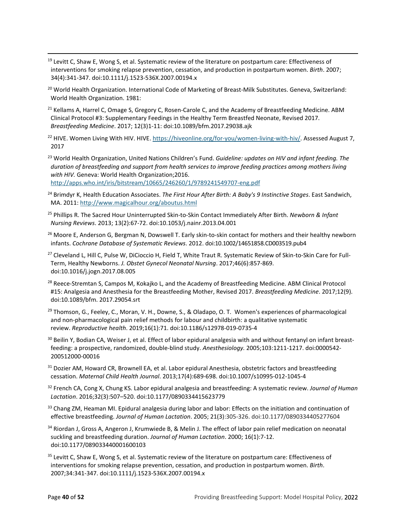- <sup>19</sup> Levitt C, Shaw E, Wong S, et al. Systematic review of the literature on postpartum care: Effectiveness of interventions for smoking relapse prevention, cessation, and production in postpartum women. *Birth*. 2007; 34(4):341-347. doi:10.1111/j.1523-536X.2007.00194.x
- <span id="page-39-0"></span><sup>20</sup> World Health Organization. International Code of Marketing of Breast-Milk Substitutes. Geneva, Switzerland: World Health Organization. 1981:
- <span id="page-39-1"></span> $21$  Kellams A, Harrel C, Omage S, Gregory C, Rosen-Carole C, and the Academy of Breastfeeding Medicine. ABM Clinical Protocol #3: Supplementary Feedings in the Healthy Term Breastfed Neonate, Revised 2017. *Breastfeeding Medicine*. 2017; 12(3)1-11: doi:10.1089/bfm.2017.29038.ajk
- <span id="page-39-2"></span><sup>22</sup> HIVE. Women Living With HIV. HIVE[. https://hiveonline.org/for-you/women-living-with-hiv/.](https://hiveonline.org/for-you/women-living-with-hiv/) Assessed August 7, 2017
- <span id="page-39-3"></span><sup>23</sup> World Health Organization, United Nations Children's Fund. *Guideline: updates on HIV and infant feeding. The duration of breastfeeding and support from health services to improve feeding practices among mothers living with HIV.* Geneva: World Health Organization;2016. <http://apps.who.int/iris/bitstream/10665/246260/1/9789241549707-eng.pdf>
- <span id="page-39-4"></span><sup>24</sup> Brimdyr K, Health Education Associates. *The First Hour After Birth: A Baby's 9 Instinctive Stages*. East Sandwich, MA. 2011:<http://www.magicalhour.org/aboutus.html>
- <sup>25</sup> Phillips R. The Sacred Hour Uninterrupted Skin-to-Skin Contact Immediately After Birth. *Newborn & Infant Nursing Reviews*. 2013; 13(2):67-72. doi:10.1053/j.nainr.2013.04.001
- <span id="page-39-5"></span><sup>26</sup> Moore E, Anderson G, Bergman N, Dowswell T. Early skin-to-skin contact for mothers and their healthy newborn infants. *Cochrane Database of Systematic Reviews*. 2012. doi:10.1002/14651858.CD003519.pub4
- <span id="page-39-6"></span><sup>27</sup> Cleveland L, Hill C, Pulse W, DiCioccio H, Field T, White Traut R. Systematic Review of Skin-to-Skin Care for Full-Term, Healthy Newborns. *J. Obstet Gynecol Neonatal Nursing*. 2017;46(6):857-869. doi:10.1016/j.jogn.2017.08.005
- <span id="page-39-7"></span><sup>28</sup> Reece-Stremtan S, Campos M, Kokajko L, and the Academy of Breastfeeding Medicine. ABM Clinical Protocol #15: Analgesia and Anesthesia for the Breastfeeding Mother, Revised 2017. *Breastfeeding Medicine*. 2017;12(9). doi:10.1089/bfm. 2017.29054.srt
- <span id="page-39-8"></span><sup>29</sup> Thomson, G., Feeley, C., Moran, V. H., Downe, S., & Oladapo, O. T. Women's experiences of pharmacological and non-pharmacological pain relief methods for labour and childbirth: a qualitative systematic review. *Reproductive health*. 2019;16(1):71. doi:10.1186/s12978-019-0735-4
- <span id="page-39-10"></span><span id="page-39-9"></span> $30$  Beilin Y, Bodian CA, Weiser J, et al. Effect of labor epidural analgesia with and without fentanyl on infant breastfeeding: a prospective, randomized, double-blind study. *Anesthesiology.* 2005;103:1211-1217. doi:0000542- 200512000-00016
- <span id="page-39-11"></span><sup>31</sup> Dozier AM, Howard CR, Brownell EA, et al. Labor epidural Anesthesia, obstetric factors and breastfeeding cessation. *Maternal Child Health Journal*. 2013;17(4):689-698. doi:10.1007/s10995-012-1045-4
- <sup>32</sup> French CA, Cong X, Chung KS. Labor epidural analgesia and breastfeeding: A systematic review. *Journal of Human Lactation*. 2016;32(3):507–520. doi:10.1177/0890334415623779
- <span id="page-39-12"></span>33 Chang ZM, Heaman MI. Epidural analgesia during labor and labor: Effects on the initiation and continuation of effective breastfeeding. *Journal of Human Lactation*. 2005; 21(3):305-326. doi:10.1177/0890334405277604
- <span id="page-39-13"></span><sup>34</sup> Riordan J, Gross A, Angeron J, Krumwiede B, & Melin J. The effect of labor pain relief medication on neonatal suckling and breastfeeding duration. *Journal of Human Lactation*. 2000; 16(1):7-12. doi:10.1177/089033440001600103
- <span id="page-39-14"></span><sup>35</sup> Levitt C, Shaw E, Wong S, et al. Systematic review of the literature on postpartum care: Effectiveness of interventions for smoking relapse prevention, cessation, and production in postpartum women. *Birth*. 2007;34:341-347. doi:10.1111/j.1523-536X.2007.00194.x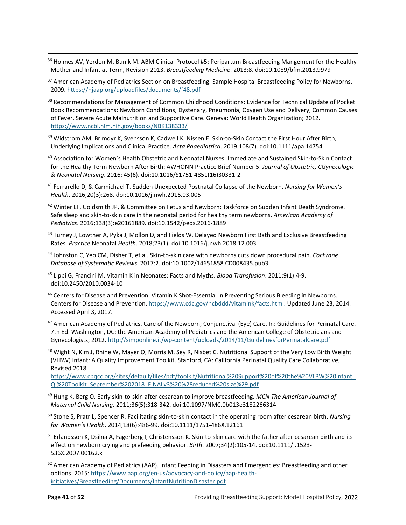- <span id="page-40-17"></span><span id="page-40-0"></span><sup>36</sup> Holmes AV, Yerdon M, Bunik M. ABM Clinical Protocol #5: Peripartum Breastfeeding Mangement for the Healthy Mother and Infant at Term, Revision 2013. *Breastfeeding Medicine*. 2013;8. doi:10.1089/bfm.2013.9979
- <span id="page-40-1"></span><sup>37</sup> American Academy of Pediatrics Section on Breastfeeding. Sample Hospital Breastfeeding Policy for Newborns. 2009[. https://njaap.org/uploadfiles/documents/f48.pdf](https://njaap.org/uploadfiles/documents/f48.pdf)
- <span id="page-40-2"></span><sup>38</sup> Recommendations for Management of Common Childhood Conditions: Evidence for Technical Update of Pocket Book Recommendations: Newborn Conditions, Dystenary, Pneumonia, Oxygen Use and Delivery, Common Causes of Fever, Severe Acute Malnutrition and Supportive Care. Geneva: World Health Organization; 2012. <https://www.ncbi.nlm.nih.gov/books/NBK138333/>
- <span id="page-40-3"></span><sup>39</sup> Widstrom AM, Brimdyr K, Svensson K, Cadwell K, Nissen E. Skin-to-Skin Contact the First Hour After Birth, Underlying Implications and Clinical Practice. *Acta Paaediatrica*. 2019;108(7). doi:10.1111/apa.14754
- <span id="page-40-4"></span><sup>40</sup> Association for Women's Health Obstetric and Neonatal Nurses. Immediate and Sustained Skin-to-Skin Contact for the Healthy Term Newborn After Birth: AWHONN Practice Brief Number 5. *Journal of Obstetric, CGynecologic & Neonatal Nursing*. 2016; 45(6). doi:10.1016/S1751-4851(16)30331-2
- <span id="page-40-5"></span><sup>41</sup> Ferrarello D, & Carmichael T. Sudden Unexpected Postnatal Collapse of the Newborn. *Nursing for Women's Health*. 2016;20(3):268. doi:10.1016/j.nwh.2016.03.005
- <span id="page-40-6"></span><sup>42</sup> Winter LF, Goldsmith JP, & Committee on Fetus and Newborn: Taskforce on Sudden Infant Death Syndrome. Safe sleep and skin-to-skin care in the neonatal period for healthy term newborns. *American Academy of Pediatrics*. 2016;138(3):e20161889. doi:10.1542/peds.2016-1889
- <span id="page-40-7"></span><sup>43</sup> Turney J, Lowther A, Pyka J, Mollon D, and Fields W. Delayed Newborn First Bath and Exclusive Breastfeeding Rates. *Practice* Neonatal *Health*. 2018;23(1). doi:10.1016/j.nwh.2018.12.003
- <span id="page-40-8"></span><sup>44</sup> Johnston C, Yeo CM, Disher T, et al. Skin-to-skin care with newborns cuts down procedural pain. *Cochrane Database of Systematic Reviews*. 2017:2. doi:10.1002/14651858.CD008435.pub3
- <span id="page-40-9"></span><sup>45</sup> Lippi G, Francini M. Vitamin K in Neonates: Facts and Myths. *Blood Transfusion*. 2011;9(1):4-9. doi:10.2450/2010.0034-10
- <sup>46</sup> Centers for Disease and Prevention. Vitamin K Shot-Essential in Preventing Serious Bleeding in Newborns. Centers for Disease and Prevention[. https://www.cdc.gov/ncbddd/vitamink/facts.html.](https://www.cdc.gov/ncbddd/vitamink/facts.html) Updated June 23, 2014. Accessed April 3, 2017.
- <span id="page-40-10"></span> $47$  American Academy of Pediatrics. Care of the Newborn; Conjunctival (Eye) Care. In: Guidelines for Perinatal Care. 7th Ed. Washington, DC: the American Academy of Pediatrics and the American College of Obstetricians and Gynecologists; 2012.<http://simponline.it/wp-content/uploads/2014/11/GuidelinesforPerinatalCare.pdf>
- <span id="page-40-12"></span><span id="page-40-11"></span><sup>48</sup> Wight N, Kim J, Rhine W, Mayer O, Morris M, Sey R, Nisbet C. Nutritional Support of the Very Low Birth Weight (VLBW) Infant: A Quality Improvement Toolkit. Stanford, CA: California Perinatal Quality Care Collaborative; Revised 2018.

https://www.cpqcc.org/sites/default/files/pdf/toolkit/Nutritional%20Support%20of%20the%20VLBW%20Infant\_ QI%20Toolkit\_September%202018\_FINALv3%20%28reduced%20size%29.pdf

- <span id="page-40-14"></span><span id="page-40-13"></span><sup>49</sup> Hung K, Berg O. Early skin-to-skin after cesarean to improve breastfeeding. *MCN The American Journal of Maternal Child Nursing*. 2011;36(5):318-342. doi:10.1097/NMC.0b013e3182266314
- <sup>50</sup> Stone S, Pratr L, Spencer R. Facilitating skin-to-skin contact in the operating room after cesarean birth. *Nursing for Women's Health*. 2014;18(6):486-99. doi:10.1111/1751-486X.12161
- <span id="page-40-15"></span><sup>51</sup> Erlandsson K, Dsilna A, Fagerberg I, Christensson K. Skin-to-skin care with the father after cesarean birth and its effect on newborn crying and prefeeding behavior. *Birth*. 2007;34(2):105-14. doi:10.1111/j.1523- 536X.2007.00162.x
- <span id="page-40-16"></span><sup>52</sup> American Academy of Pediatrics (AAP). Infant Feeding in Disasters and Emergencies: Breastfeeding and other options. 2015: [https://www.aap.org/en-us/advocacy-and-policy/aap-health](https://www.aap.org/en-us/advocacy-and-policy/aap-health-initiatives/Breastfeeding/Documents/InfantNutritionDisaster.pdf)[initiatives/Breastfeeding/Documents/InfantNutritionDisaster.pdf](https://www.aap.org/en-us/advocacy-and-policy/aap-health-initiatives/Breastfeeding/Documents/InfantNutritionDisaster.pdf)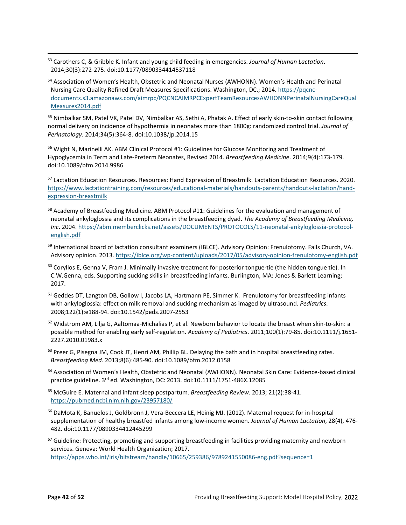<span id="page-41-17"></span><span id="page-41-0"></span><sup>53</sup> Carothers C, & Gribble K. Infant and young child feeding in emergencies. *Journal of Human Lactation*. 2014;30(3):272-275. doi:10.1177/0890334414537118

<span id="page-41-1"></span><sup>54</sup> Association of Women's Health, Obstetric and Neonatal Nurses (AWHONN). Women's Health and Perinatal Nursing Care Quality Refined Draft Measures Specifications. Washington, DC.; 2014[. https://pqcnc](https://pqcnc-documents.s3.amazonaws.com/aimrpc/PQCNCAIMRPCExpertTeamResourcesAWHONNPerinatalNursingCareQualMeasures2014.pdf)[documents.s3.amazonaws.com/aimrpc/PQCNCAIMRPCExpertTeamResourcesAWHONNPerinatalNursingCareQual](https://pqcnc-documents.s3.amazonaws.com/aimrpc/PQCNCAIMRPCExpertTeamResourcesAWHONNPerinatalNursingCareQualMeasures2014.pdf) [Measures2014.pdf](https://pqcnc-documents.s3.amazonaws.com/aimrpc/PQCNCAIMRPCExpertTeamResourcesAWHONNPerinatalNursingCareQualMeasures2014.pdf)

<span id="page-41-2"></span>55 Nimbalkar SM, Patel VK, Patel DV, Nimbalkar AS, Sethi A, Phatak A. Effect of early skin-to-skin contact following normal delivery on incidence of hypothermia in neonates more than 1800g: randomized control trial. *Journal of Perinatology*. 2014;34(5):364-8. doi:10.1038/jp.2014.15

<span id="page-41-4"></span><span id="page-41-3"></span><sup>56</sup> Wight N, Marinelli AK. ABM Clinical Protocol #1: Guidelines for Glucose Monitoring and Treatment of Hypoglycemia in Term and Late-Preterm Neonates, Revised 2014. *Breastfeeding Medicine*. 2014;9(4):173-179. doi:10.1089/bfm.2014.9986

<span id="page-41-5"></span>57 Lactation Education Resources. Resources: Hand Expression of Breastmilk. Lactation Education Resources. 2020. [https://www.lactationtraining.com/resources/educational-materials/handouts-parents/handouts-lactation/hand](https://www.lactationtraining.com/resources/educational-materials/handouts-parents/handouts-lactation/hand-expression-breastmilk)[expression-breastmilk](https://www.lactationtraining.com/resources/educational-materials/handouts-parents/handouts-lactation/hand-expression-breastmilk)

- <span id="page-41-6"></span><sup>58</sup> Academy of Breastfeeding Medicine. ABM Protocol #11: Guidelines for the evaluation and management of neonatal ankyloglossia and its complications in the breastfeeding dyad. *The Academy of Breastfeeding Medicine, Inc*. 2004. [https://abm.memberclicks.net/assets/DOCUMENTS/PROTOCOLS/11-neonatal-ankyloglossia-protocol](https://abm.memberclicks.net/assets/DOCUMENTS/PROTOCOLS/11-neonatal-ankyloglossia-protocol-english.pdf)[english.pdf](https://abm.memberclicks.net/assets/DOCUMENTS/PROTOCOLS/11-neonatal-ankyloglossia-protocol-english.pdf)
- <span id="page-41-8"></span><span id="page-41-7"></span>59 International board of lactation consultant examiners (IBLCE). Advisory Opinion: Frenulotomy. Falls Church, VA. Advisory opinion. 2013[. https://iblce.org/wp-content/uploads/2017/05/advisory-opinion-frenulotomy-english.pdf](https://iblce.org/wp-content/uploads/2017/05/advisory-opinion-frenulotomy-english.pdf)
- <span id="page-41-9"></span> $60$  Coryllos E, Genna V, Fram J. Minimally invasive treatment for posterior tongue-tie (the hidden tongue tie). In C.W.Genna, eds. Supporting sucking skills in breastfeeding infants. Burlington, MA: Jones & Barlett Learning; 2017.
- <span id="page-41-10"></span> $61$  Geddes DT, Langton DB, Gollow I, Jacobs LA, Hartmann PE, Simmer K. Frenulotomy for breastfeeding infants with ankyloglossia: effect on milk removal and sucking mechanism as imaged by ultrasound. *Pediatrics*. 2008;122(1):e188-94. doi:10.1542/peds.2007-2553
- <span id="page-41-11"></span> $62$  Widstrom AM, Lilja G, Aaltomaa-Michalias P, et al. Newborn behavior to locate the breast when skin-to-skin: a possible method for enabling early self-regulation. *Academy of Pediatrics*. 2011;100(1):79-85. doi:10.1111/j.1651- 2227.2010.01983.x
- <span id="page-41-12"></span> $63$  Preer G, Pisegna JM, Cook JT, Henri AM, Phillip BL. Delaying the bath and in hospital breastfeeding rates. *Breastfeeding Med*. 2013;8(6):485-90. doi:10.1089/bfm.2012.0158
- <sup>64</sup> Association of Women's Health, Obstetric and Neonatal (AWHONN). Neonatal Skin Care: Evidence-based clinical practice guideline. 3rd ed. Washington, DC: 2013. doi:10.1111/1751-486X.12085
- <span id="page-41-13"></span><sup>65</sup> McGuire E. Maternal and infant sleep postpartum. *Breastfeeding Review*. 2013; 21(2):38-41. <https://pubmed.ncbi.nlm.nih.gov/23957180/>
- <span id="page-41-14"></span><sup>66</sup> DaMota K, Banuelos J, Goldbronn J, Vera-Beccera LE, Heinig MJ. (2012). Maternal request for in-hospital supplementation of healthy breastfed infants among low-income women. *Journal of Human Lactation*, 28(4), 476- 482. doi:10.1177/0890334412445299

<span id="page-41-16"></span><span id="page-41-15"></span> $67$  Guideline: Protecting, promoting and supporting breastfeeding in facilities providing maternity and newborn services. Geneva: World Health Organization; 2017. <https://apps.who.int/iris/bitstream/handle/10665/259386/9789241550086-eng.pdf?sequence=1>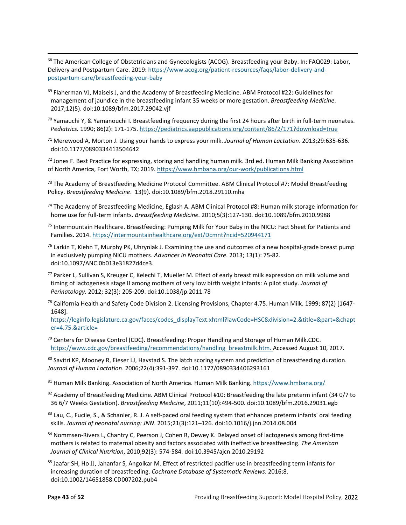<span id="page-42-0"></span><sup>68</sup> The American College of Obstetricians and Gynecologists (ACOG). Breastfeeding your Baby. In: FAQ029: Labor, Delivery and Postpartum Care. 2019: [https://www.acog.org/patient-resources/faqs/labor-delivery-and](https://www.acog.org/patient-resources/faqs/labor-delivery-and-postpartum-care/breastfeeding-your-baby)[postpartum-care/breastfeeding-your-baby](https://www.acog.org/patient-resources/faqs/labor-delivery-and-postpartum-care/breastfeeding-your-baby)

- <span id="page-42-1"></span> $69$  Flaherman VJ, Maisels J, and the Academy of Breastfeeding Medicine. ABM Protocol #22: Guidelines for management of jaundice in the breastfeeding infant 35 weeks or more gestation. *Breastfeeding Medicine*. 2017;12(5). doi:10.1089/bfm.2017.29042.vjf
- <span id="page-42-2"></span> $70$  Yamauchi Y, & Yamanouchi I. Breastfeeding frequency during the first 24 hours after birth in full-term neonates. *Pediatrics.* 1990; 86(2): 171-175[. https://pediatrics.aappublications.org/content/86/2/171?download=true](https://pediatrics.aappublications.org/content/86/2/171?download=true)
- <span id="page-42-3"></span><sup>71</sup> Merewood A, Morton J. Using your hands to express your milk. *Journal of Human Lactation*. 2013;29:635-636. doi:10.1177/0890334413504642

 $72$  Jones F. Best Practice for expressing, storing and handling human milk. 3rd ed. Human Milk Banking Association of North America, Fort Worth, TX; 2019.<https://www.hmbana.org/our-work/publications.html>

<span id="page-42-4"></span><sup>73</sup> The Academy of Breastfeeding Medicine Protocol Committee. ABM Clinical Protocol #7: Model Breastfeeding Policy. *Breastfeeding Medicine*. 13(9). doi:10.1089/bfm.2018.29110.mha

<span id="page-42-5"></span><sup>74</sup> The Academy of Breastfeeding Medicine, Eglash A. ABM Clinical Protocol #8: Human milk storage information for home use for full-term infants. *Breastfeeding Medicine.* 2010;5(3):127-130. doi:10.1089/bfm.2010.9988

75 Intermountain Healthcare. Breastfeeding: Pumping Milk for Your Baby in the NICU: Fact Sheet for Patients and Families. 2014[. https://intermountainhealthcare.org/ext/Dcmnt?ncid=520944171](https://intermountainhealthcare.org/ext/Dcmnt?ncid=520944171) 

<span id="page-42-6"></span> $^{76}$  Larkin T, Kiehn T, Murphy PK, Uhryniak J. Examining the use and outcomes of a new hospital-grade breast pump in exclusively pumping NICU mothers. *Advances in Neonatal Care*. 2013; 13(1): 75-82. doi:10.1097/ANC.0b013e31827d4ce3.

- <span id="page-42-7"></span> $77$  Parker L, Sullivan S, Kreuger C, Kelechi T, Mueller M. Effect of early breast milk expression on milk volume and timing of lactogenesis stage II among mothers of very low birth weight infants: A pilot study. *Journal of Perinatology.* 2012; 32(3): 205-209. doi:10.1038/jp.2011.78
- <span id="page-42-8"></span> $^{78}$  California Health and Safety Code Division 2. Licensing Provisions, Chapter 4.75. Human Milk. 1999; 87(2) [1647-1648].

<span id="page-42-9"></span>[https://leginfo.legislature.ca.gov/faces/codes\\_displayText.xhtml?lawCode=HSC&division=2.&title=&part=&chapt](https://leginfo.legislature.ca.gov/faces/codes_displayText.xhtml?lawCode=HSC&division=2.&title=&part=&chapter=4.75.&article=) [er=4.75.&article=](https://leginfo.legislature.ca.gov/faces/codes_displayText.xhtml?lawCode=HSC&division=2.&title=&part=&chapter=4.75.&article=)

 $79$  Centers for Disease Control (CDC). Breastfeeding: Proper Handling and Storage of Human Milk.CDC. [https://www.cdc.gov/breastfeeding/recommendations/handling\\_breastmilk.htm.](https://www.cdc.gov/breastfeeding/recommendations/handling_breastmilk.htm) Accessed August 10, 2017.

<span id="page-42-10"></span>80 Savitri KP, Mooney R, Eieser LJ, Havstad S. The latch scoring system and prediction of breastfeeding duration. *Journal of Human Lactation*. 2006;22(4):391-397. doi:10.1177/0890334406293161

<span id="page-42-11"></span><sup>81</sup> Human Milk Banking. Association of North America. Human Milk Banking.<https://www.hmbana.org/>

<span id="page-42-12"></span>82 Academy of Breastfeeding Medicine. ABM Clinical Protocol #10: Breastfeeding the late preterm infant (34 0/7 to 36 6/7 Weeks Gestation). *Breastfeeding Medicine*, 2011;11(10):494-500. doi:10.1089/bfm.2016.29031.egb

<span id="page-42-13"></span> $83$  Lau, C., Fucile, S., & Schanler, R. J. A self-paced oral feeding system that enhances preterm infants' oral feeding skills. *Journal of neonatal nursing: JNN*. 2015;21(3):121–126. doi:10.1016/j.jnn.2014.08.004

<span id="page-42-14"></span>84 Nommsen-Rivers L, Chantry C, Peerson J, Cohen R, Dewey K. Delayed onset of lactogenesis among first-time mothers is related to maternal obesity and factors associated with ineffective breastfeeding. *The American Journal of Clinical Nutrition*, 2010;92(3): 574-584. doi:10.3945/ajcn.2010.29192

85 Jaafar SH, Ho JJ, Jahanfar S, Angolkar M. Effect of restricted pacifier use in breastfeeding term infants for increasing duration of breastfeeding. *Cochrane Database of Systematic Reviews*. 2016;8. doi:10.1002/14651858.CD007202.pub4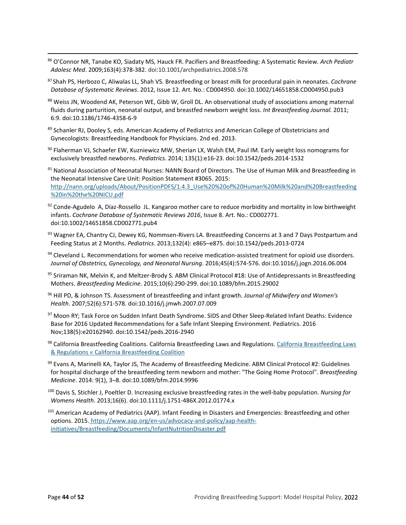- <span id="page-43-18"></span><span id="page-43-0"></span><sup>86</sup> O'Connor NR, Tanabe KO, Siadaty MS, Hauck FR. Pacifiers and Breastfeeding: A Systematic Review. *Arch Pediatr Adolesc Med*. 2009;163(4):378-382. doi:10.1001/archpediatrics.2008.578
- <span id="page-43-1"></span><sup>87</sup> Shah PS, Herbozo C, Aliwalas LL, Shah VS. Breastfeeding or breast milk for procedural pain in neonates. *Cochrane Database of Systematic Reviews*. 2012, Issue 12. Art. No.: CD004950. doi:10.1002/14651858.CD004950.pub3
- 88 Weiss JN, Woodend AK, Peterson WE, Gibb W, Groll DL. An observational study of associations among maternal fluids during parturition, neonatal output, and breastfed newborn weight loss. *Int Breastfeeding Journal.* 2011; 6:9. doi:10.1186/1746-4358-6-9
- <span id="page-43-3"></span><span id="page-43-2"></span>89 Schanler RJ, Dooley S, eds. American Academy of Pediatrics and American College of Obstetricians and Gynecologists: Breastfeeding Handbook for Physicians. 2nd ed. 2013.
- 90 Flaherman VJ, Schaefer EW, Kuzniewicz MW, Sherian LX, Walsh EM, Paul IM. Early weight loss nomograms for exclusively breastfed newborns. *Pediatrics*. 2014; 135(1):e16-23. doi:10.1542/peds.2014-1532
- <span id="page-43-5"></span><span id="page-43-4"></span><sup>91</sup> National Association of Neonatal Nurses: NANN Board of Directors. The Use of Human Milk and Breastfeeding in the Neonatal Intensive Care Unit: Position Statement #3065. 2015: [http://nann.org/uploads/About/PositionPDFS/1.4.3\\_Use%20%20of%20Human%20Milk%20and%20Breastfeeding](http://nann.org/uploads/About/PositionPDFS/1.4.3_Use%20%20of%20Human%20Milk%20and%20Breastfeeding%20in%20the%20NICU.pdf) [%20in%20the%20NICU.pdf](http://nann.org/uploads/About/PositionPDFS/1.4.3_Use%20%20of%20Human%20Milk%20and%20Breastfeeding%20in%20the%20NICU.pdf)
- <span id="page-43-6"></span> $92$  Conde-Agudelo A, Díaz-Rossello JL. Kangaroo mother care to reduce morbidity and mortality in low birthweight infants. *Cochrane Database of Systematic Reviews 2016*, Issue 8. Art. No.: CD002771. doi:10.1002/14651858.CD002771.pub4
- <span id="page-43-7"></span><sup>93</sup> Wagner EA, Chantry CJ, Dewey KG, Nommsen-Rivers LA. Breastfeeding Concerns at 3 and 7 Days Postpartum and Feeding Status at 2 Months. *Pediatrics*. 2013;132(4): e865–e875. doi:10.1542/peds.2013-0724
- <span id="page-43-8"></span>94 Cleveland L. Recommendations for women who receive medication-assisted treatment for opioid use disorders. *Journal of Obstetrics, Gynecology, and Neonatal Nursing*. 2016;45(4):574-576. doi:10.1016/j.jogn.2016.06.004
- <span id="page-43-9"></span><sup>95</sup> Sriraman NK, Melvin K, and Meltzer-Brody S. ABM Clinical Protocol #18: Use of Antidepressants in Breastfeeding Mothers. *Breastfeeding Medicine*. 2015;10(6):290-299. doi:10.1089/bfm.2015.29002
- <span id="page-43-10"></span><sup>96</sup> Hill PD, & Johnson TS. Assessment of breastfeeding and infant growth. *Journal of Midwifery and Women's Health*. 2007;52(6):571-578. doi:10.1016/j.jmwh.2007.07.009
- 97 Moon RY; Task Force on Sudden Infant Death Syndrome. SIDS and Other Sleep-Related Infant Deaths: Evidence Base for 2016 Updated Recommendations for a Safe Infant Sleeping Environment. Pediatrics. 2016 Nov;138(5):e20162940. doi:10.1542/peds.2016-2940
- <span id="page-43-11"></span><sup>98</sup> California Breastfeeding Coalitions. California Breastfeeding Laws and Regulations[. California Breastfeeding Laws](http://californiabreastfeeding.org/breastfeedingrights/california-breastfeeding-laws/)  [& Regulations « California Breastfeeding Coalition](http://californiabreastfeeding.org/breastfeedingrights/california-breastfeeding-laws/)
- <span id="page-43-12"></span><sup>99</sup> Evans A, Marinelli KA, Taylor JS, The Academy of Breastfeeding Medicine. ABM Clinical Protocol #2: Guidelines for hospital discharge of the breastfeeding term newborn and mother: "The Going Home Protocol". *Breastfeeding Medicine*. 2014: 9(1), 3–8. doi:10.1089/bfm.2014.9996
- <span id="page-43-14"></span><span id="page-43-13"></span><sup>100</sup> Davis S, Stichler J, Poeltler D. Increasing exclusive breastfeeding rates in the well-baby population. *Nursing for Womens Health*. 2013;16(6). doi:10.1111/j.1751-486X.2012.01774.x
- <span id="page-43-17"></span><span id="page-43-16"></span><span id="page-43-15"></span><sup>101</sup> American Academy of Pediatrics (AAP). Infant Feeding in Disasters and Emergencies: Breastfeeding and other options. 2015. [https://www.aap.org/en-us/advocacy-and-policy/aap-health](https://www.aap.org/en-us/advocacy-and-policy/aap-health-initiatives/Breastfeeding/Documents/InfantNutritionDisaster.pdf)[initiatives/Breastfeeding/Documents/InfantNutritionDisaster.pdf](https://www.aap.org/en-us/advocacy-and-policy/aap-health-initiatives/Breastfeeding/Documents/InfantNutritionDisaster.pdf)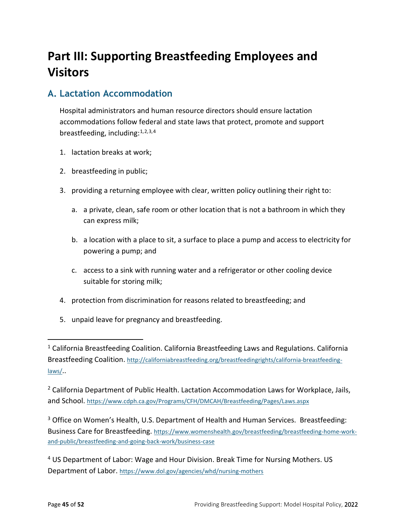## <span id="page-44-2"></span><span id="page-44-0"></span>**Part III: Supporting Breastfeeding Employees and Visitors**

### <span id="page-44-5"></span><span id="page-44-4"></span><span id="page-44-3"></span><span id="page-44-1"></span>**A. Lactation Accommodation**

Hospital administrators and human resource directors should ensure lactation accommodations follow federal and state laws that protect, promote and support breastfeeding, including: $1,2,3,4$  $1,2,3,4$  $1,2,3,4$  $1,2,3,4$  $1,2,3,4$  $1,2,3,4$ 

- <span id="page-44-6"></span>1. lactation breaks at work;
- <span id="page-44-7"></span>2. breastfeeding in public;
- <span id="page-44-9"></span><span id="page-44-8"></span>3. providing a returning employee with clear, written policy outlining their right to:
	- a. a private, clean, safe room or other location that is not a bathroom in which they can express milk;
	- b. a location with a place to sit, a surface to place a pump and access to electricity for powering a pump; and
	- c. access to a sink with running water and a refrigerator or other cooling device suitable for storing milk;
- <span id="page-44-12"></span><span id="page-44-11"></span><span id="page-44-10"></span>4. protection from discrimination for reasons related to breastfeeding; and
- 5. unpaid leave for pregnancy and breastfeeding.

<span id="page-44-19"></span><span id="page-44-16"></span> $2$  California Department of Public Health. Lactation Accommodation Laws for Workplace, Jails, and School. <https://www.cdph.ca.gov/Programs/CFH/DMCAH/Breastfeeding/Pages/Laws.aspx>

<span id="page-44-20"></span><span id="page-44-17"></span><sup>3</sup> Office on Women's Health, U.S. Department of Health and Human Services. Breastfeeding: Business Care for Breastfeeding. [https://www.womenshealth.gov/breastfeeding/breastfeeding-home-work](https://www.womenshealth.gov/breastfeeding/breastfeeding-home-work-and-public/breastfeeding-and-going-back-work/business-case)[and-public/breastfeeding-and-going-back-work/business-case](https://www.womenshealth.gov/breastfeeding/breastfeeding-home-work-and-public/breastfeeding-and-going-back-work/business-case) 

<span id="page-44-21"></span><sup>4</sup> US Department of Labor: Wage and Hour Division. Break Time for Nursing Mothers. US Department of Labor.<https://www.dol.gov/agencies/whd/nursing-mothers>

<span id="page-44-18"></span><span id="page-44-15"></span><span id="page-44-14"></span><span id="page-44-13"></span> $1$  California Breastfeeding Coalition. California Breastfeeding Laws and Regulations. California Breastfeeding Coalition. [http://californiabreastfeeding.org/breastfeedingrights/california-breastfeeding](http://californiabreastfeeding.org/breastfeedingrights/california-breastfeeding-laws/)[laws/.](http://californiabreastfeeding.org/breastfeedingrights/california-breastfeeding-laws/).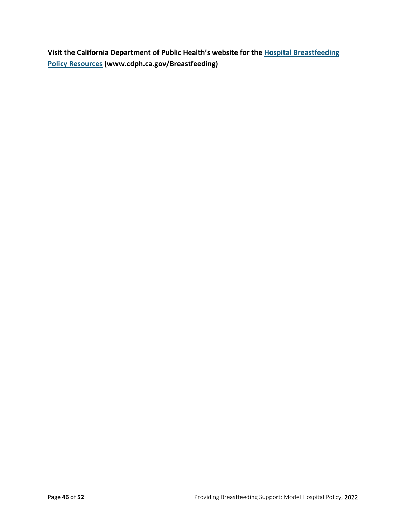**Visit the California Department of Public Health's website for the [Hospital Breastfeeding](https://www.cdph.ca.gov/Programs/CFH/DMCAH/Breastfeeding/Pages/Hospital-Breastfeeding-Policy-Resources.aspx)  [Policy Resources](https://www.cdph.ca.gov/Programs/CFH/DMCAH/Breastfeeding/Pages/Hospital-Breastfeeding-Policy-Resources.aspx) (www.cdph.ca.gov/Breastfeeding)**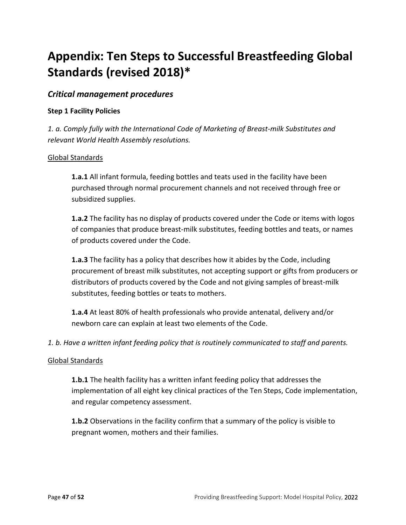## <span id="page-46-0"></span>**Appendix: Ten Steps to Successful Breastfeeding Global Standards (revised 2018)[\\*](#page-51-0)**

#### *Critical management procedures*

#### **Step 1 Facility Policies**

*1. a. Comply fully with the International Code of Marketing of Breast-milk Substitutes and relevant World Health Assembly resolutions.*

#### Global Standards

**1.a.1** All infant formula, feeding bottles and teats used in the facility have been purchased through normal procurement channels and not received through free or subsidized supplies.

**1.a.2** The facility has no display of products covered under the Code or items with logos of companies that produce breast-milk substitutes, feeding bottles and teats, or names of products covered under the Code.

**1.a.3** The facility has a policy that describes how it abides by the Code, including procurement of breast milk substitutes, not accepting support or gifts from producers or distributors of products covered by the Code and not giving samples of breast-milk substitutes, feeding bottles or teats to mothers.

**1.a.4** At least 80% of health professionals who provide antenatal, delivery and/or newborn care can explain at least two elements of the Code.

*1. b. Have a written infant feeding policy that is routinely communicated to staff and parents.*

#### Global Standards

**1.b.1** The health facility has a written infant feeding policy that addresses the implementation of all eight key clinical practices of the Ten Steps, Code implementation, and regular competency assessment.

**1.b.2** Observations in the facility confirm that a summary of the policy is visible to pregnant women, mothers and their families.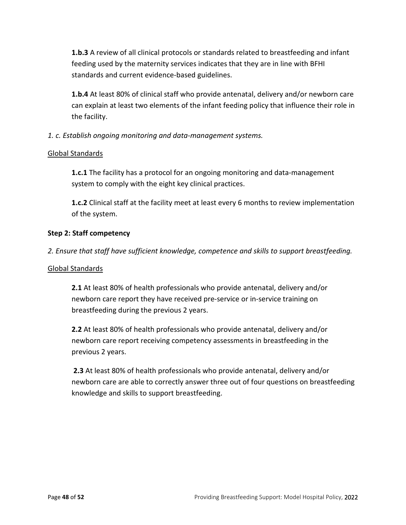**1.b.3** A review of all clinical protocols or standards related to breastfeeding and infant feeding used by the maternity services indicates that they are in line with BFHI standards and current evidence-based guidelines.

**1.b.4** At least 80% of clinical staff who provide antenatal, delivery and/or newborn care can explain at least two elements of the infant feeding policy that influence their role in the facility.

#### *1. c. Establish ongoing monitoring and data-management systems.*

#### Global Standards

**1.c.1** The facility has a protocol for an ongoing monitoring and data-management system to comply with the eight key clinical practices.

**1.c.2** Clinical staff at the facility meet at least every 6 months to review implementation of the system.

#### **Step 2: Staff competency**

*2. Ensure that staff have sufficient knowledge, competence and skills to support breastfeeding.*

#### Global Standards

**2.1** At least 80% of health professionals who provide antenatal, delivery and/or newborn care report they have received pre-service or in-service training on breastfeeding during the previous 2 years.

**2.2** At least 80% of health professionals who provide antenatal, delivery and/or newborn care report receiving competency assessments in breastfeeding in the previous 2 years.

**2.3** At least 80% of health professionals who provide antenatal, delivery and/or newborn care are able to correctly answer three out of four questions on breastfeeding knowledge and skills to support breastfeeding.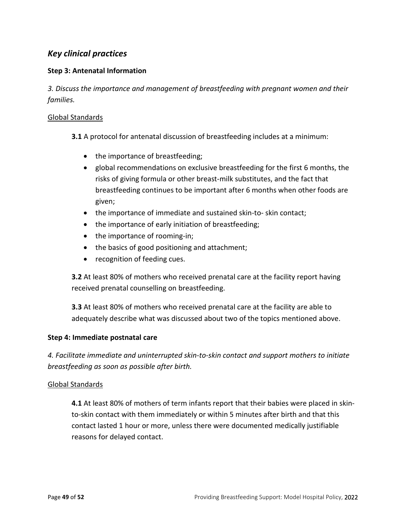### *Key clinical practices*

#### **Step 3: Antenatal Information**

*3. Discuss the importance and management of breastfeeding with pregnant women and their families.*

#### Global Standards

**3.1** A protocol for antenatal discussion of breastfeeding includes at a minimum:

- the importance of breastfeeding;
- global recommendations on exclusive breastfeeding for the first 6 months, the risks of giving formula or other breast-milk substitutes, and the fact that breastfeeding continues to be important after 6 months when other foods are given;
- the importance of immediate and sustained skin-to- skin contact;
- the importance of early initiation of breastfeeding;
- the importance of rooming-in;
- the basics of good positioning and attachment;
- recognition of feeding cues.

**3.2** At least 80% of mothers who received prenatal care at the facility report having received prenatal counselling on breastfeeding.

**3.3** At least 80% of mothers who received prenatal care at the facility are able to adequately describe what was discussed about two of the topics mentioned above.

#### **Step 4: Immediate postnatal care**

*4. Facilitate immediate and uninterrupted skin-to-skin contact and support mothers to initiate breastfeeding as soon as possible after birth.*

#### Global Standards

**4.1** At least 80% of mothers of term infants report that their babies were placed in skinto-skin contact with them immediately or within 5 minutes after birth and that this contact lasted 1 hour or more, unless there were documented medically justifiable reasons for delayed contact.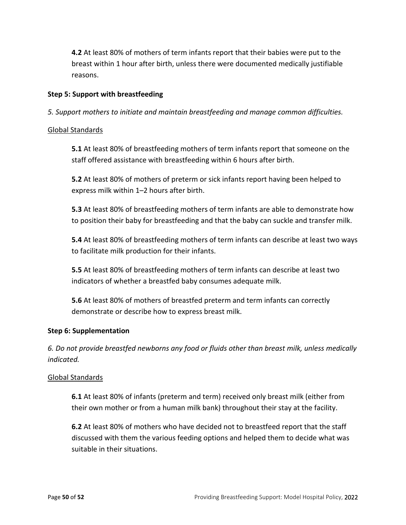**4.2** At least 80% of mothers of term infants report that their babies were put to the breast within 1 hour after birth, unless there were documented medically justifiable reasons.

#### **Step 5: Support with breastfeeding**

*5. Support mothers to initiate and maintain breastfeeding and manage common difficulties.*

#### Global Standards

**5.1** At least 80% of breastfeeding mothers of term infants report that someone on the staff offered assistance with breastfeeding within 6 hours after birth.

**5.2** At least 80% of mothers of preterm or sick infants report having been helped to express milk within 1–2 hours after birth.

**5.3** At least 80% of breastfeeding mothers of term infants are able to demonstrate how to position their baby for breastfeeding and that the baby can suckle and transfer milk.

**5.4** At least 80% of breastfeeding mothers of term infants can describe at least two ways to facilitate milk production for their infants.

**5.5** At least 80% of breastfeeding mothers of term infants can describe at least two indicators of whether a breastfed baby consumes adequate milk.

**5.6** At least 80% of mothers of breastfed preterm and term infants can correctly demonstrate or describe how to express breast milk.

#### **Step 6: Supplementation**

*6. Do not provide breastfed newborns any food or fluids other than breast milk, unless medically indicated.*

#### Global Standards

**6.1** At least 80% of infants (preterm and term) received only breast milk (either from their own mother or from a human milk bank) throughout their stay at the facility.

**6.2** At least 80% of mothers who have decided not to breastfeed report that the staff discussed with them the various feeding options and helped them to decide what was suitable in their situations.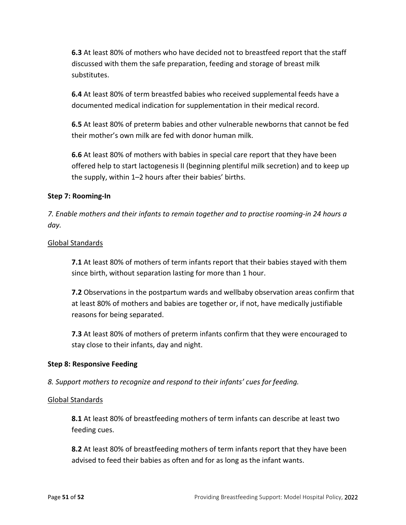**6.3** At least 80% of mothers who have decided not to breastfeed report that the staff discussed with them the safe preparation, feeding and storage of breast milk substitutes.

**6.4** At least 80% of term breastfed babies who received supplemental feeds have a documented medical indication for supplementation in their medical record.

**6.5** At least 80% of preterm babies and other vulnerable newborns that cannot be fed their mother's own milk are fed with donor human milk.

**6.6** At least 80% of mothers with babies in special care report that they have been offered help to start lactogenesis II (beginning plentiful milk secretion) and to keep up the supply, within 1–2 hours after their babies' births.

#### **Step 7: Rooming-In**

*7. Enable mothers and their infants to remain together and to practise rooming-in 24 hours a day.*

#### Global Standards

**7.1** At least 80% of mothers of term infants report that their babies stayed with them since birth, without separation lasting for more than 1 hour.

**7.2** Observations in the postpartum wards and wellbaby observation areas confirm that at least 80% of mothers and babies are together or, if not, have medically justifiable reasons for being separated.

**7.3** At least 80% of mothers of preterm infants confirm that they were encouraged to stay close to their infants, day and night.

#### **Step 8: Responsive Feeding**

*8. Support mothers to recognize and respond to their infants' cues for feeding.*

#### Global Standards

**8.1** At least 80% of breastfeeding mothers of term infants can describe at least two feeding cues.

**8.2** At least 80% of breastfeeding mothers of term infants report that they have been advised to feed their babies as often and for as long as the infant wants.